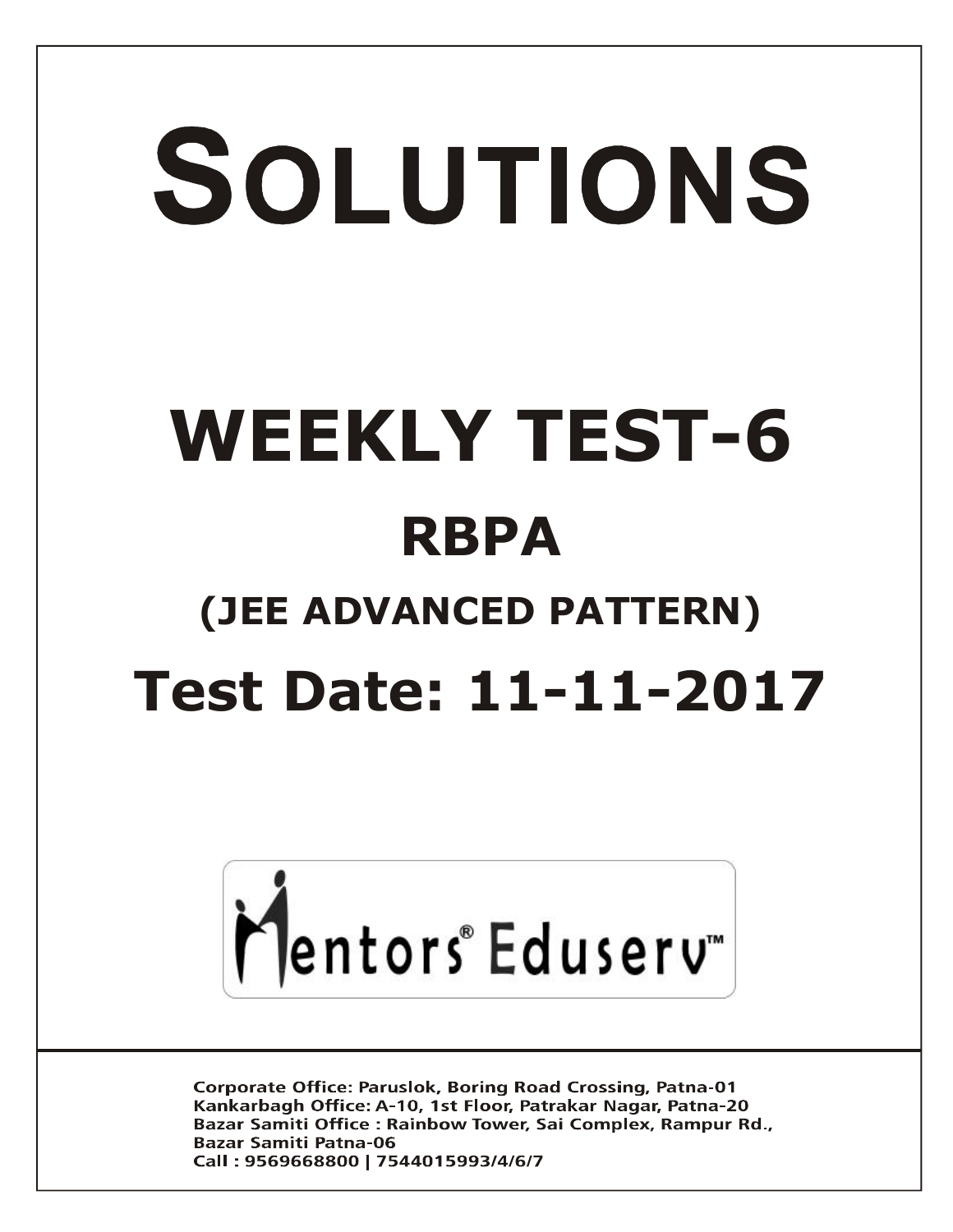# SOLUTIONS **WEEKLY TEST-6 RBPA (JEE ADVANCED PATTERN) Test Date: 11-11-2017**



**Corporate Office: Paruslok, Boring Road Crossing, Patna-01** Kankarbagh Office: A-10, 1st Floor, Patrakar Nagar, Patna-20 Bazar Samiti Office: Rainbow Tower, Sai Complex, Rampur Rd., **Bazar Samiti Patna-06** Call: 9569668800 | 7544015993/4/6/7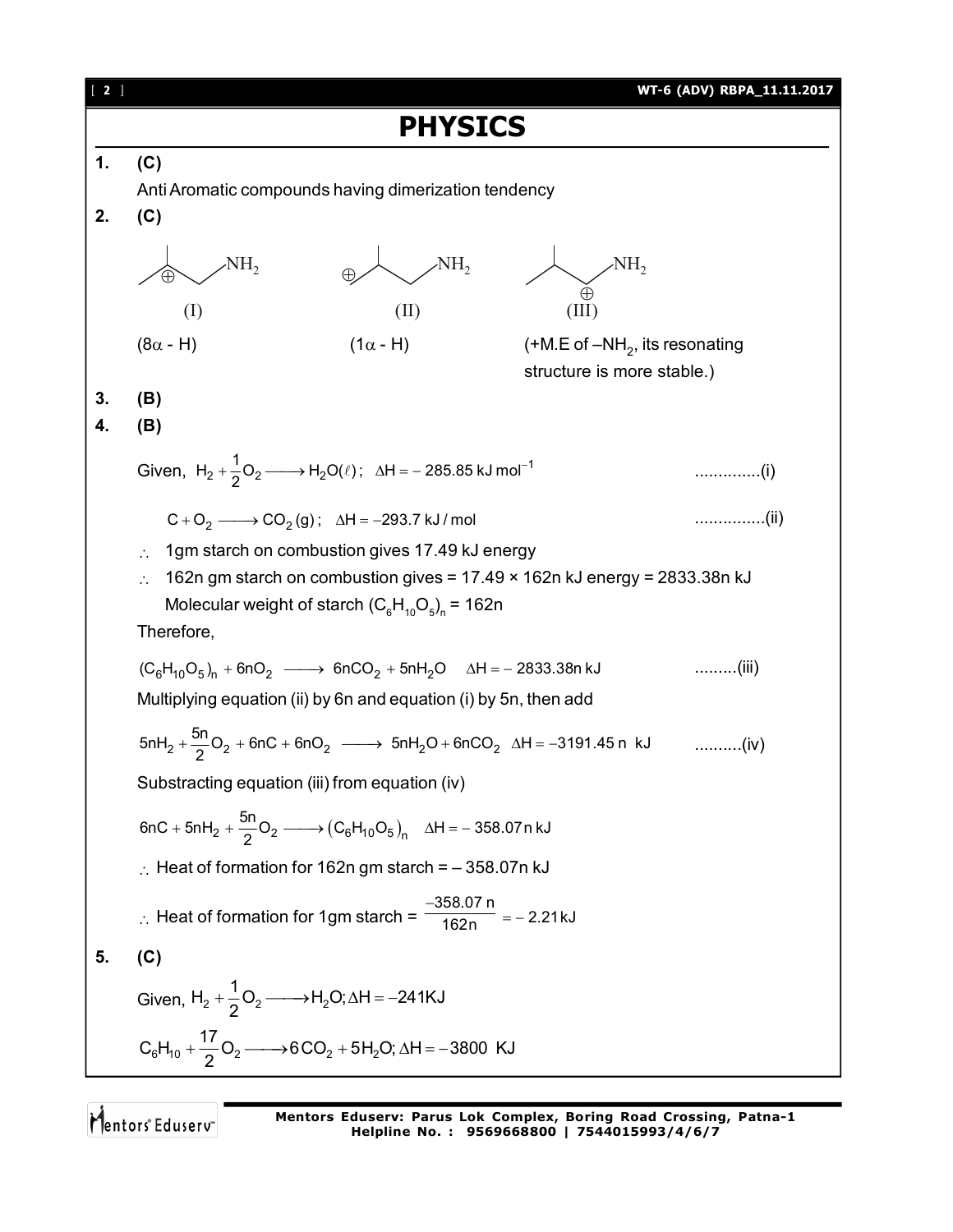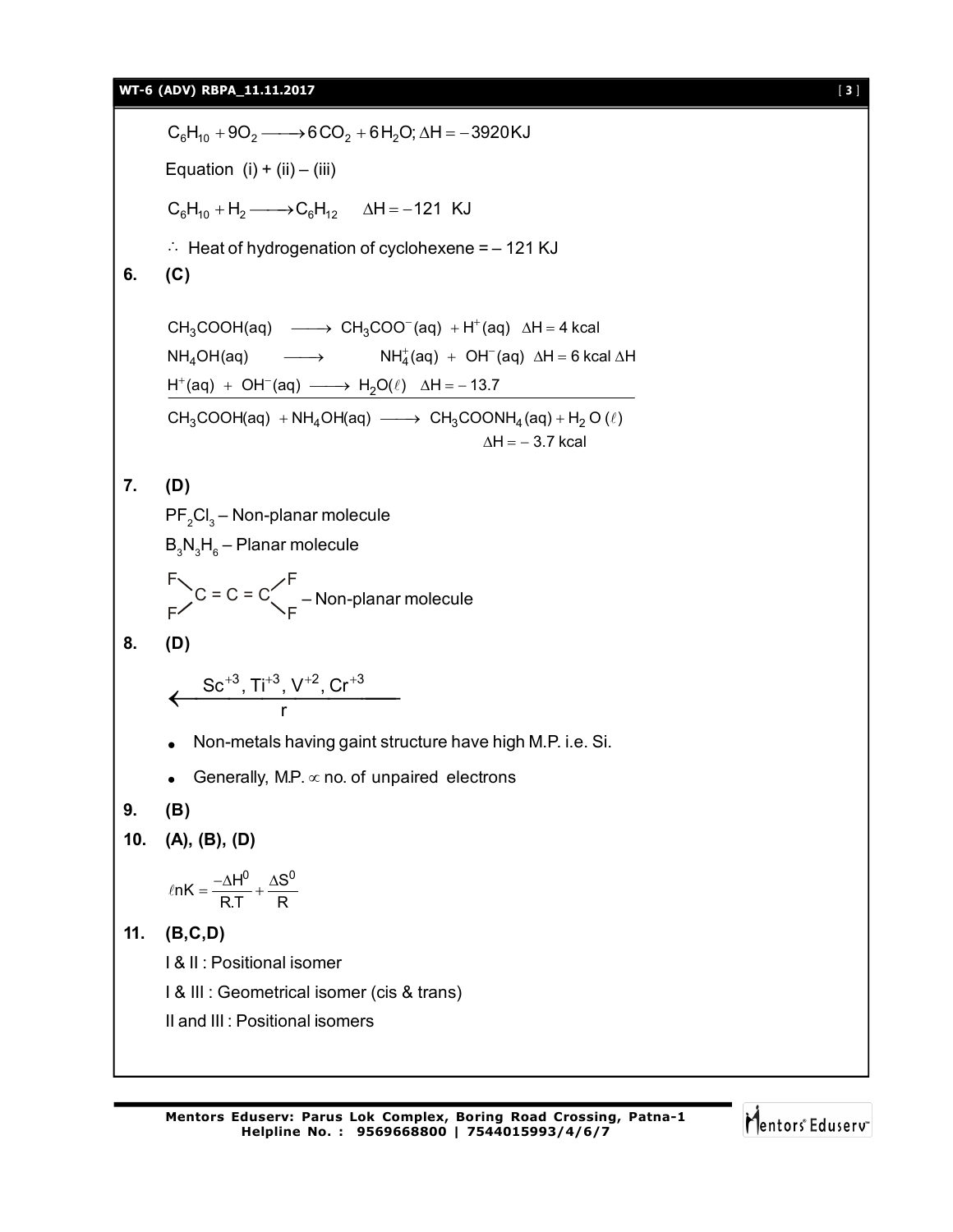### **WT-6 (ADV) RBPA\_11.11.2017** [ **3** ]

 $C_6H_{10} + 9O_2 \longrightarrow 6CO_2 + 6H_2O$ ;  $\Delta H = -3920KJ$ Equation (i) + (ii) – (iii)  $C_6H_{10} + H_2 \longrightarrow C_6H_{12}$   $\Delta H = -121$  KJ  $\therefore$  Heat of hydrogenation of cyclohexene = - 121 KJ **6. (C)**  $CH_3COOH(aq) \longrightarrow CH_3COO^-(aq) + H^+(aq) \Delta H = 4 kcal$  $NH_4OH(aq)$   $\longrightarrow$   $NH_4^+(aq) + OH^-(aq)$   $\Delta H = 6$  kcal  $\Delta H$  $H^+(aq) + OH^-(aq) \longrightarrow H_2O(\ell)$   $\Delta H = -13.7$  $CH_3COOH(aq) + NH_4OH(aq) \longrightarrow CH_3COONH_4(aq) + H_2O(\ell)$  $\Delta \mathsf{H} = -$  3.7 kcal **7. (D)**  $\mathsf{PF}_2\mathsf{CI}_3$  – Non-planar molecule  $\mathsf{B}_\mathsf{3}\mathsf{N}_\mathsf{3}\mathsf{H}_\mathsf{6}$  – Planar molecule  $C = C = C$  $F_1$   $F_2$  $F'$   $\rightarrow$   $F$  – Non-planar molecule **8. (D)**  $\mathsf{Sc}^{+3}$ , Ti $^{+3}$ , V $^{+2}$ , Cr $^{+3}$  $\leftarrow \frac{Sc^{+3}, Ti^{+3}, V^{+2}, Cr^{+3}}{r}$  Non-metals having gaint structure have high M.P. i.e. Si. Generally, M.P.  $\infty$  no. of unpaired electrons **9. (B) 10. (A), (B), (D)**  $ln K = \frac{-\Delta H^0}{R.T} + \frac{\Delta S^0}{R}$ **11. (B,C,D)** I & II : Positional isomer I & III : Geometrical isomer (cis & trans) II and III : Positional isomers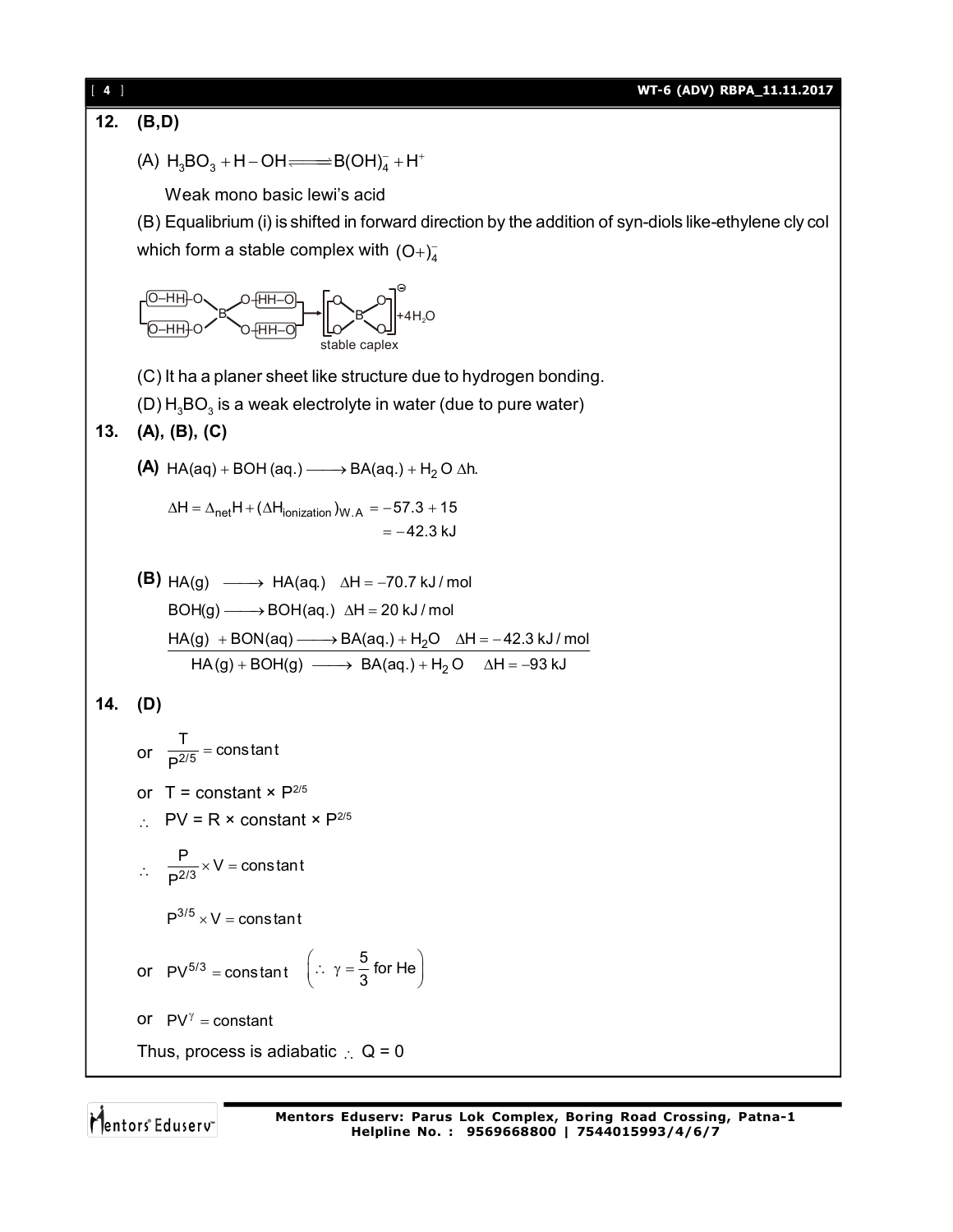**12. (B,D)** (A)  $H_3BO_3 + H - OH \longrightarrow B(OH)_4^- + H^+$ Weak mono basic lewi's acid (B) Equalibrium (i) is shifted in forward direction by the addition of syn-diols like-ethylene cly col which form a stable complex with  $(O+)_{4}^{-}$ H<del>∣</del>−O H–O B O–H O–H H–O H–O O–H O–H B  $\circ$  $\alpha$   $\infty$  $\circ$ +4 $H<sub>2</sub>O$ stable caplex (C) It ha a planer sheet like structure due to hydrogen bonding. (D)  $\mathsf{H}_{\scriptscriptstyle{3}}\mathsf{BO}_{\scriptscriptstyle{3}}$  is a weak electrolyte in water (due to pure water) **13. (A), (B), (C) (A)** HA(aq) + BOH (aq.)  $\longrightarrow$  BA(aq.) + H<sub>2</sub> O  $\Delta$ h.  $\Delta \mathsf{H} = \Delta_\mathsf{net} \mathsf{H} + (\Delta \mathsf{H}_\mathsf{ionization})_{\mathsf{W.A}} = -57.3 + 15$ 42.3 kJ **(B)**  $HA(g) \longrightarrow HA(aq)$   $\Delta H = -70.7 \text{ kJ/mol}$  $HA(g) + BON(aq) \longrightarrow BA(aq.) + H<sub>2</sub>O \quad \Delta H = -42.3 \text{ kJ/mol}$  $HA(g) + BOH(g) \longrightarrow BA(aq.) + H<sub>2</sub>O \quad \Delta H = -93 \text{ kJ}$  $\mathsf{BOH}(g) \longrightarrow \mathsf{BOH}(aq.) \;\; \Delta \mathsf{H} = 20$  kJ / mol **14. (D)** or  $\frac{T}{P^{2/5}}$  = constant P  $=$ or  $T = constant \times P^{2/5}$  $\therefore$  PV = R × constant × P<sup>2/5</sup>  $\therefore \frac{ }{D^{2/3}}$  $\frac{P}{2(2)} \times V = \text{const}$ ant P  $\times V = 0$  $P^{3/5}$  x V = constant or  $PV^{5/3}$  = constant  $\left(\because \gamma = \frac{5}{3} \text{ for He}\right)$  $\left(\therefore \ \gamma = \frac{5}{3} \text{ for He}\right)$ or  $PV^{\gamma} = constant$ Thus, process is adiabatic  $\therefore$  Q = 0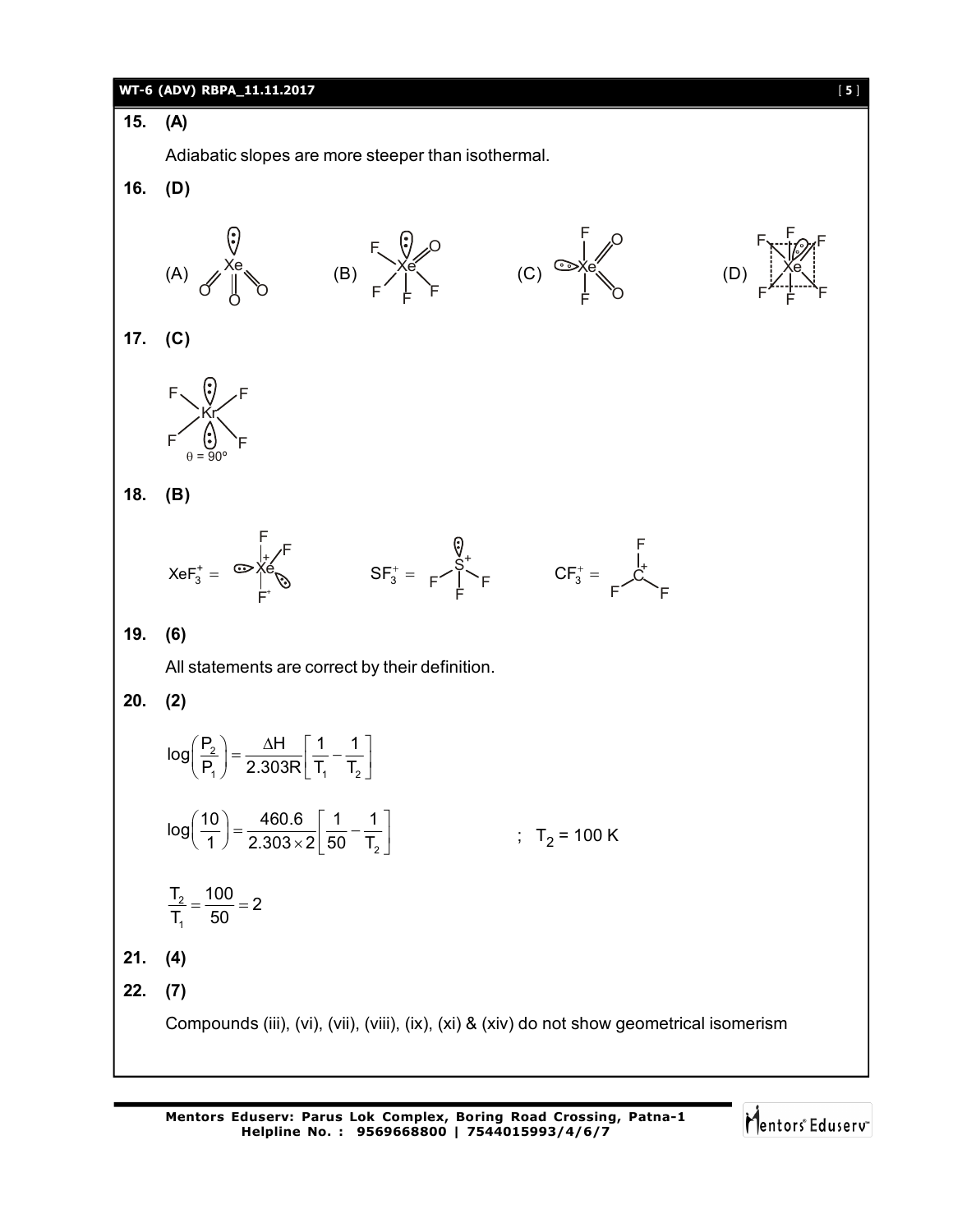**15. (A)**

**16. (D)**

**17. (C)**

**18. (B)**

**19. (6)**

**20. (2)**



$$
\frac{T_2}{T_1} = \frac{100}{50} = 2
$$

**21. (4)**

**22. (7)**

Compounds (iii), (vi), (vii), (viii), (ix), (xi) & (xiv) do not show geometrical isomerism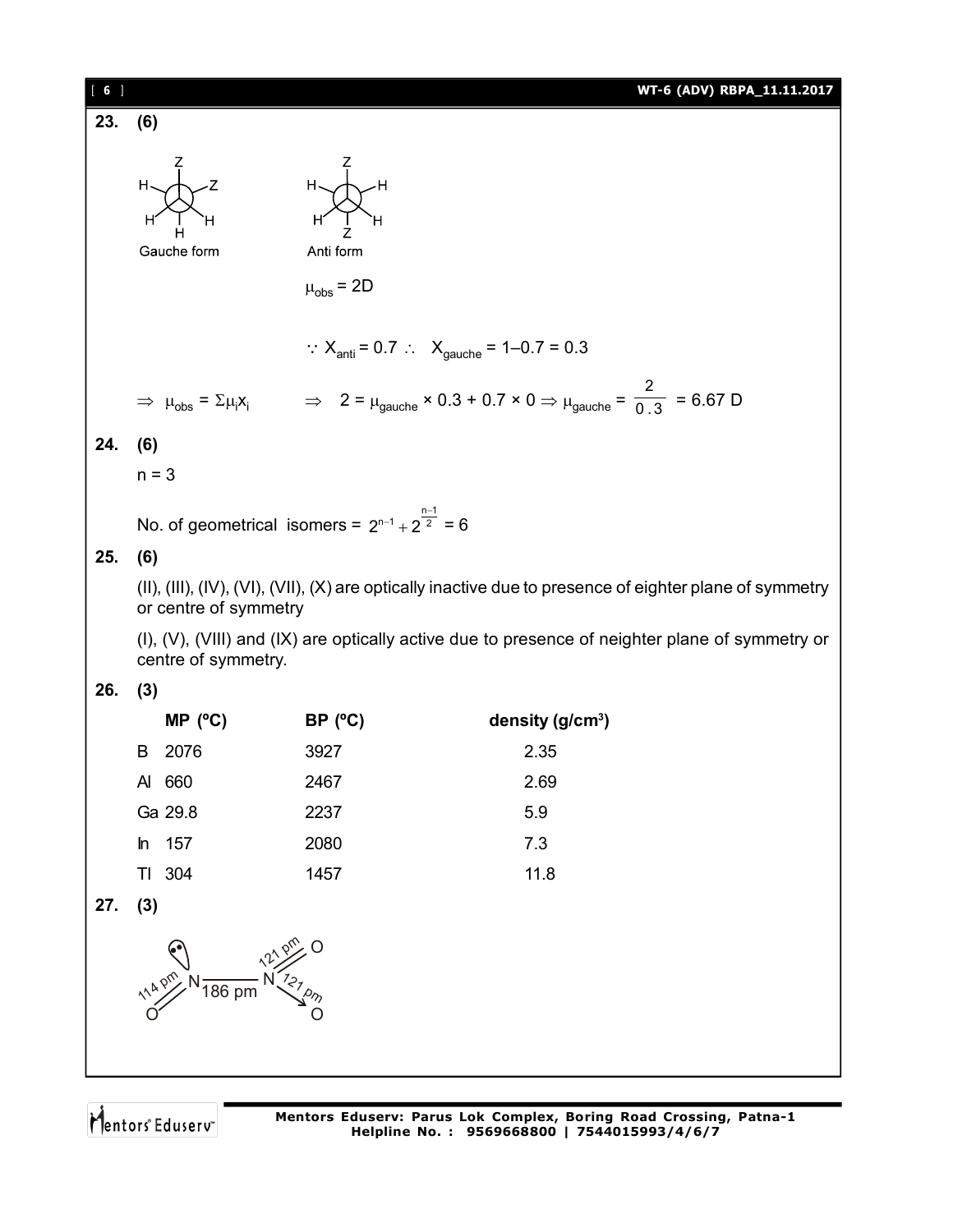$$
\left[\begin{array}{cc}6\end{array}\right]
$$

**23. (6)**



 $\mu_{\rm obs}$  = 2D

Anti form

∴  $X_{\text{anti}} = 0.7$  ∴  $X_{\text{gauche}} = 1 - 0.7 = 0.3$ 

$$
\Rightarrow \mu_{\text{obs}} = \Sigma \mu_i X_i \qquad \Rightarrow \quad 2 = \mu_{\text{gauche}} \times 0.3 + 0.7 \times 0 \Rightarrow \mu_{\text{gauche}} = \frac{2}{0.3} = 6.67 \text{ D}
$$

### **24. (6)**

 $n = 3$ 

No. of geometrical isomers =  $2^{n-1} + 2^{\frac{n-1}{2}} = 6$ 

## **25. (6)**

(II), (III), (IV), (VI), (VII), (X) are optically inactive due to presence of eighter plane of symmetry or centre of symmetry

(I), (V), (VIII) and (IX) are optically active due to presence of neighter plane of symmetry or centre of symmetry.

## **26. (3)**

|       | MP (°C) | BP (°C) | density $(g/cm3)$ |
|-------|---------|---------|-------------------|
| B.    | 2076    | 3927    | 2.35              |
| AI    | 660     | 2467    | 2.69              |
|       | Ga 29.8 | 2237    | 5.9               |
| $\ln$ | 157     | 2080    | 7.3               |
|       | 304     | 1457    | 11.8              |

**27. (3)**

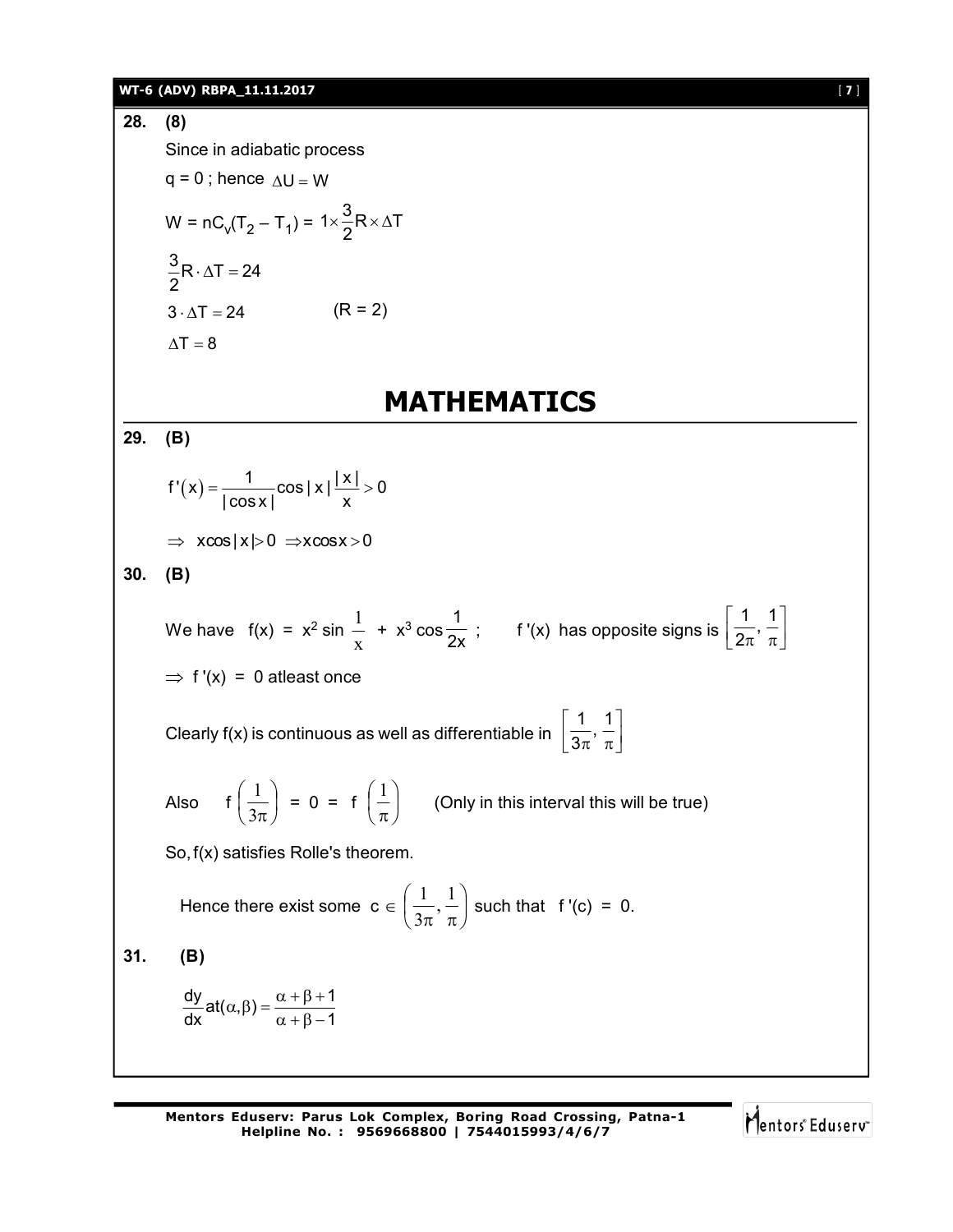**WTEs (ADV) RBPA 11.11.2017**  
\n**28.** (8)  
\nSince in adiabatic process  
\n
$$
q = 0
$$
; hence  $\Delta U = W$   
\n $W = nC_V(T_2 - T_1) = 1 \times \frac{3}{2}R \times \Delta T$   
\n $\frac{3}{2}R \cdot \Delta T = 24$  (R = 2)  
\n $\Delta T = 8$   
\n**MATHEMATICS**  
\n**29.** (B)  
\n $f'(x) = \frac{1}{|\cos x|} \cos |x| \frac{|x|}{x} > 0$   
\n $\Rightarrow x \cos |x| > 0 \Rightarrow x \cos x > 0$   
\n**30.** (B)  
\nWe have  $f(x) = x^2 \sin \frac{1}{x} + x^3 \cos \frac{1}{2x}$ ;  $f'(x)$  has opposite signs is  $\left[\frac{1}{2\pi}, \frac{1}{\pi}\right]$   
\n $\Rightarrow f'(x) = 0$  at least once  
\nClearly  $f(x)$  is continuous as well as differentiable in  $\left[\frac{1}{3\pi}, \frac{1}{\pi}\right]$   
\nAlso  $f\left(\frac{1}{3\pi}\right) = 0 = f\left(\frac{1}{\pi}\right)$  (Only in this interval this will be true)  
\nSo,  $f(x)$  satisfies Rolle's theorem.  
\nHence there exist some  $c \in \left(\frac{1}{3\pi}, \frac{1}{\pi}\right)$  such that  $f'(c) = 0$ .  
\n**31.** (B)  
\n $\frac{dy}{dx} at(x, \beta) = \frac{\alpha + \beta + 1}{\alpha + \beta - 1}$ 

Mentors<sup>e</sup> Eduserv<sup>-</sup>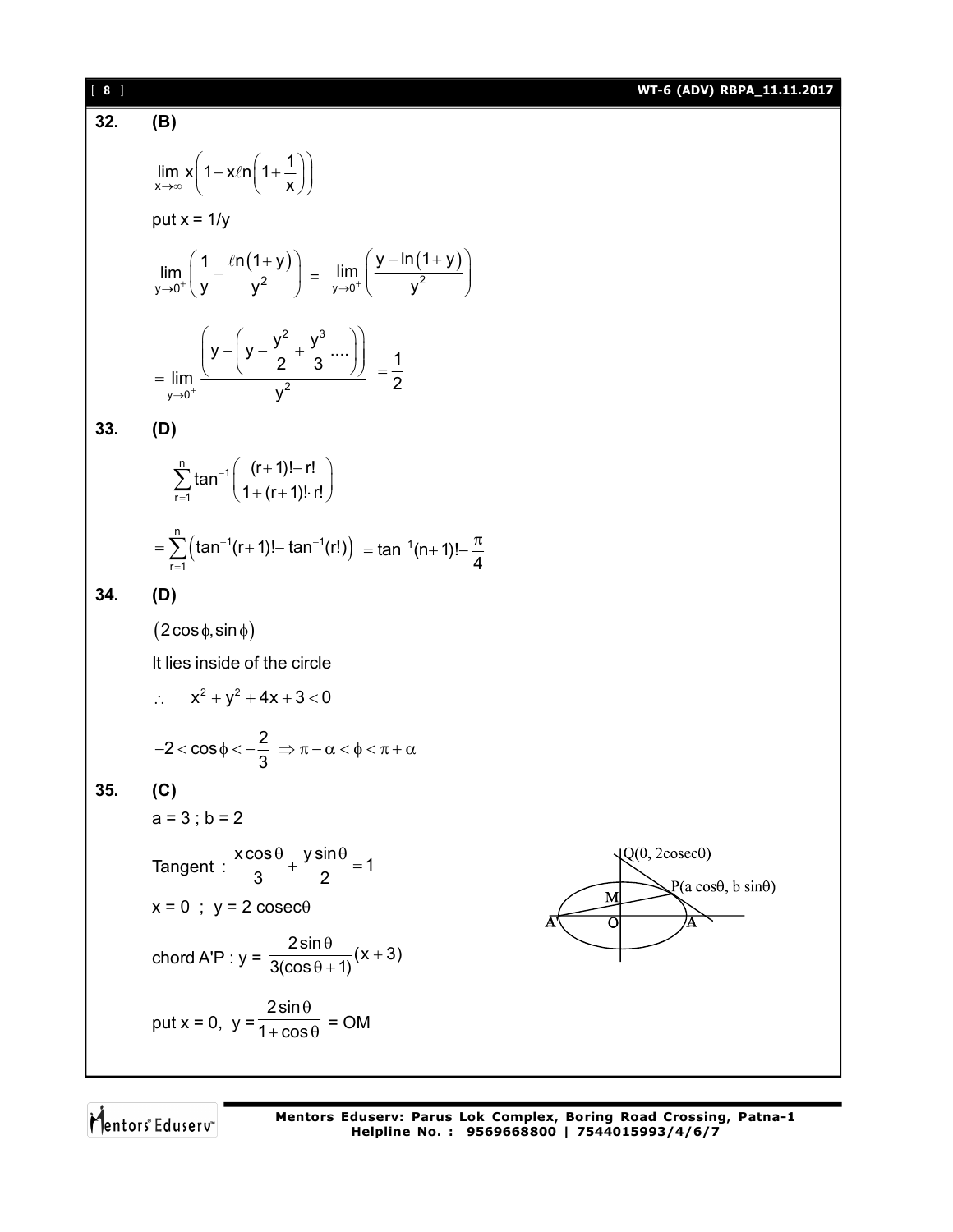32. **(B)**  
\n
$$
\lim_{x \to \infty} x \left( 1 - x \ln \left( 1 + \frac{1}{x} \right) \right)
$$
\nput  $x = 1/y$   
\n
$$
\lim_{y \to 0^+} \left( \frac{1}{y} - \frac{\ln(1+y)}{y^2} \right) = \lim_{y \to 0^+} \left( \frac{y - \ln(1+y)}{y^2} \right)
$$
\n
$$
= \lim_{y \to 0^+} \left( \frac{y - \left( y - \frac{y^2}{2} + \frac{y^3}{3} \dots \right)}{y^2} \right) = \frac{1}{2}
$$

$$
33. \qquad (D)
$$

$$
\sum_{r=1}^{n} \tan^{-1} \left( \frac{(r+1)! - r!}{1 + (r+1)! \cdot r!} \right)
$$
  
= 
$$
\sum_{r=1}^{n} \left( \tan^{-1} (r+1)! - \tan^{-1} (r!) \right) = \tan^{-1} (n+1)! - \frac{\pi}{4}
$$

**34. (D)**

 $(2\cos\phi,\sin\phi)$ 

It lies inside of the circle

 $\therefore \quad x^2 + y^2 + 4x + 3 < 0$ 

 $2 < \cos \phi < -\frac{2}{2}$ 3  $-2 < \cos \phi < -\frac{2}{\alpha} \Rightarrow \pi - \alpha < \phi < \pi + \alpha$ 

# **35. (C)**

$$
a = 3
$$
;  $b = 2$ 

Tangent : 
$$
\frac{x \cos \theta}{3} + \frac{y \sin \theta}{2} = 1
$$
  
x = 0 ; y = 2 cosec $\theta$ 

chord A'P : 
$$
y = \frac{2 \sin \theta}{3(\cos \theta + 1)}(x + 3)
$$

put x = 0, y = 
$$
\frac{2\sin\theta}{1+\cos\theta} = OM
$$



Mentors<sup>®</sup> Eduserv<sup>®</sup>

**Mentors Eduserv: Parus Lok Complex, Boring Road Crossing, Patna-1 Helpline No. : 9569668800 | 7544015993/4/6/7**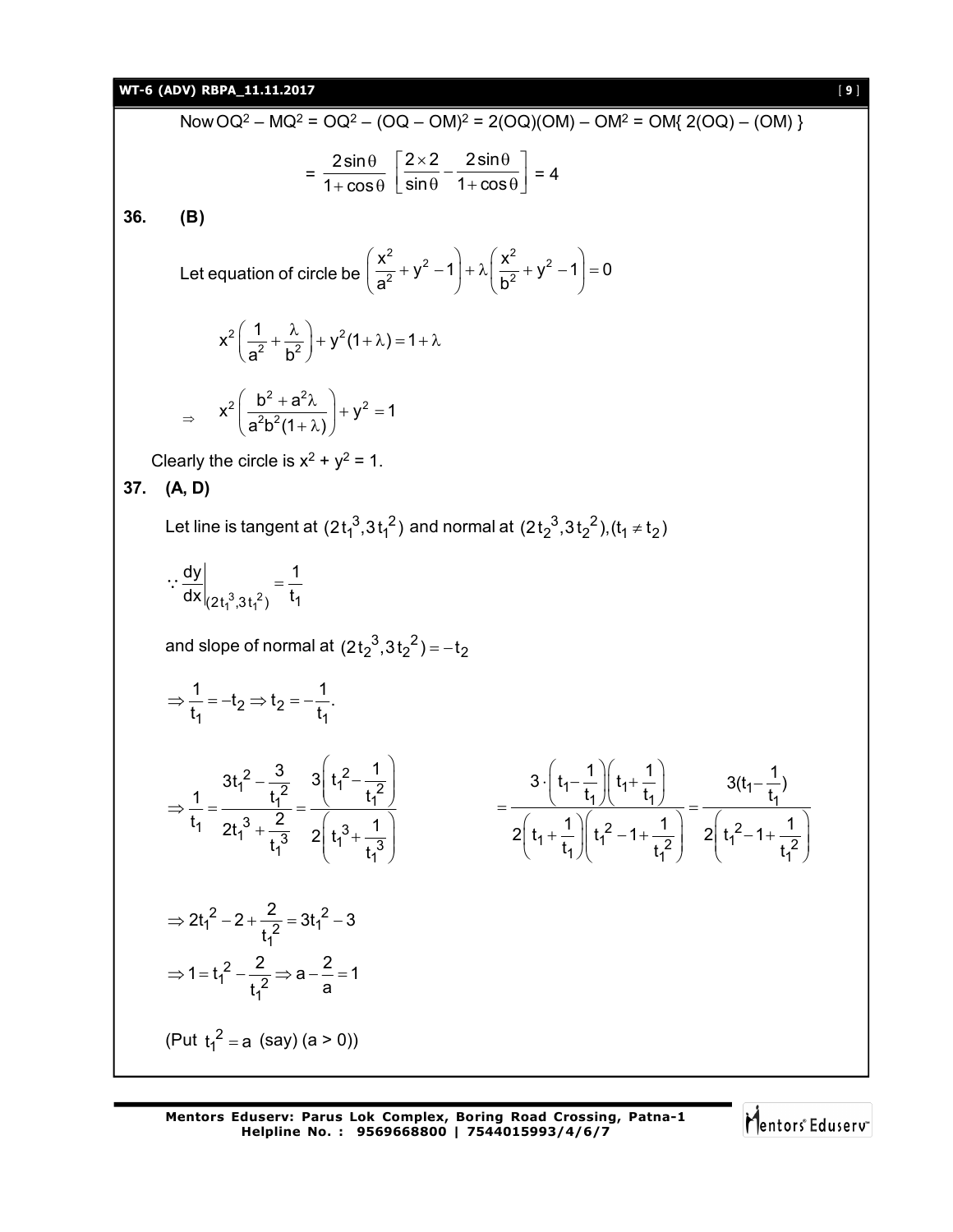### **WT-6 (ADV) RBPA\_11.11.2017** [ **9** ]

Now OQ<sup>2</sup> - MO<sup>2</sup> = OQ<sup>2</sup> - (OQ – OM)<sup>2</sup> = 2(OQ)(OM) – OM<sup>2</sup> = OM(2(OQ) – (OM))  
\n
$$
= \frac{2 \sin \theta}{1 + \cos \theta} \left[ \frac{2 \times 2}{\sin \theta} - \frac{2 \sin \theta}{1 + \cos \theta} \right] = 4
$$
\n36. (B)  
\nLet equation of circle be  $\left( \frac{x^2}{a^2} + y^2 - 1 \right) + \lambda \left( \frac{x^2}{b^2} + y^2 - 1 \right) = 0$   
\n
$$
x^2 \left( \frac{1}{a^2} + \frac{\lambda}{b^2} \right) + y^2 (1 + \lambda) = 1 + \lambda
$$
\n
$$
\Rightarrow x^2 \left( \frac{b^2 + a^2 \lambda}{a^2 b^2 (1 + \lambda)} \right) + y^2 - 1
$$
\nClearly the circle is  $x^2 + y^2 = 1$ .  
\n37. (A, D)  
\nLet line is tangent at  $(2t_1^3, 3t_1^2)$  and normal at  $(2t_2^3, 3t_2^2)$ ,  $(t_1 \neq t_2)$   
\n
$$
\therefore \frac{dy}{dx}|_{2[t_1^3, 3t_1^2)} = \frac{1}{t_1}
$$
\nand slope of normal at  $(2t_2^3, 3t_2^2) = -t_2$   
\n
$$
\Rightarrow \frac{1}{t_1} = -t_2 \Rightarrow t_2 = -\frac{1}{t_1}.
$$
\n
$$
\Rightarrow \frac{1}{t_1} = -t_2 \Rightarrow t_2 = -\frac{1}{t_1}.
$$
\n
$$
\Rightarrow \frac{1}{t_1} = -t_2 \Rightarrow t_2 = -\frac{1}{t_1}.
$$
\n
$$
\Rightarrow 2t_1^2 - 2 + \frac{2}{t_1^2} = 3t_1^2 - 3
$$
\n
$$
\Rightarrow 1 = t_1^2 - \frac{2}{t_1^2} \Rightarrow a - \frac{2}{a} = 1
$$
\n
$$
(Put t_1^2 = a (say) (a > 0))
$$

Mentors<sup>e</sup> Eduserv<sup>-</sup>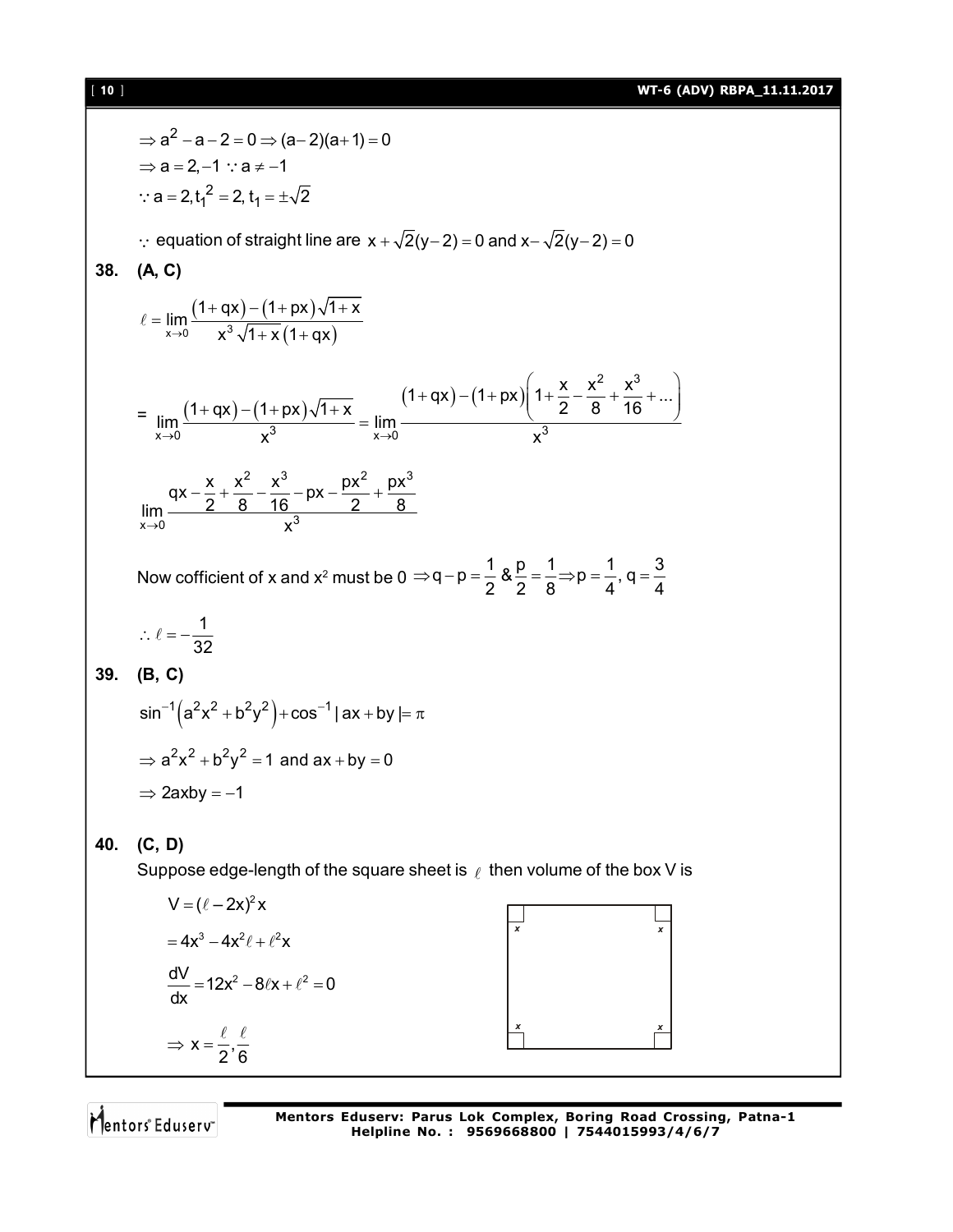### [ **10** ] **WT-6 (ADV) RBPA\_11.11.2017**

$$
a^2 - a - 2 = 0 \Rightarrow (a - 2)(a + 1) = 0
$$
  
\n⇒ a = 2, -1 ∴ a ≠ -1  
\n∴ a = 2, t<sub>1</sub> = ±\sqrt{2}  
\n∴ equation of straight line are x +  $\sqrt{2}(y - 2) = 0$  and x -  $\sqrt{2}(y - 2) = 0$   
\n38. (A, C)  
\n
$$
\ell = \lim_{x \to 0} \frac{(1 + qx) - (1 + px)\sqrt{1 + x}}{x^3\sqrt{1 + x}(1 + qx)}
$$
\n
$$
= \lim_{x \to 0} \frac{(1 + qx) - (1 + px)\sqrt{1 + x}}{x^3} = \lim_{x \to 0} \frac{(1 + qx) - (1 + px)\left(1 + \frac{x}{2} - \frac{x^2}{8} + \frac{x^3}{16} + ...\right)}{x^3}
$$
\n
$$
\lim_{x \to 0} \frac{ax - \frac{x}{2} + \frac{x^2}{8} - \frac{x^3}{16} - px - \frac{px^2}{8}}{x^3}
$$
\nNow coficient of x and x<sup>2</sup> must be 0 ⇒ q – p =  $\frac{1}{2}$  &  $\frac{R}{2} = \frac{1}{8}$  ⇒ p =  $\frac{1}{4}$ , q =  $\frac{3}{4}$   
\n∴  $\ell = -\frac{1}{32}$   
\n39. (B, C)  
\n
$$
\sin^{-1}(a^2x^2 + b^2y^2) + \cos^{-1}|ax + by| = \pi
$$
  
\n⇒ a<sup>2</sup>x<sup>2</sup> + b<sup>2</sup>y<sup>2</sup> = 1 and ax + by = 0  
\n⇒ 2axby = -1  
\n40. (C, D)  
\nSuppose edge-length of the square sheet is  $\ell$  then volume of the box V is  
\n
$$
V = (\ell - 2x)^2x
$$
  
\n
$$
= 4x^3 - 4x^2\ell + \ell^2x
$$
  
\n
$$
\frac{dV}{dx} = 12x^2 - 8tx + \ell^2 = 0
$$
  
\n⇒  $x = \frac{\ell}{2} \cdot \frac{\ell}{6}$ 

Mentors<sup>e</sup> Eduserv<sup>-</sup>

**Mentors Eduserv: Parus Lok Complex, Boring Road Crossing, Patna-1 Helpline No. : 9569668800 | 7544015993/4/6/7**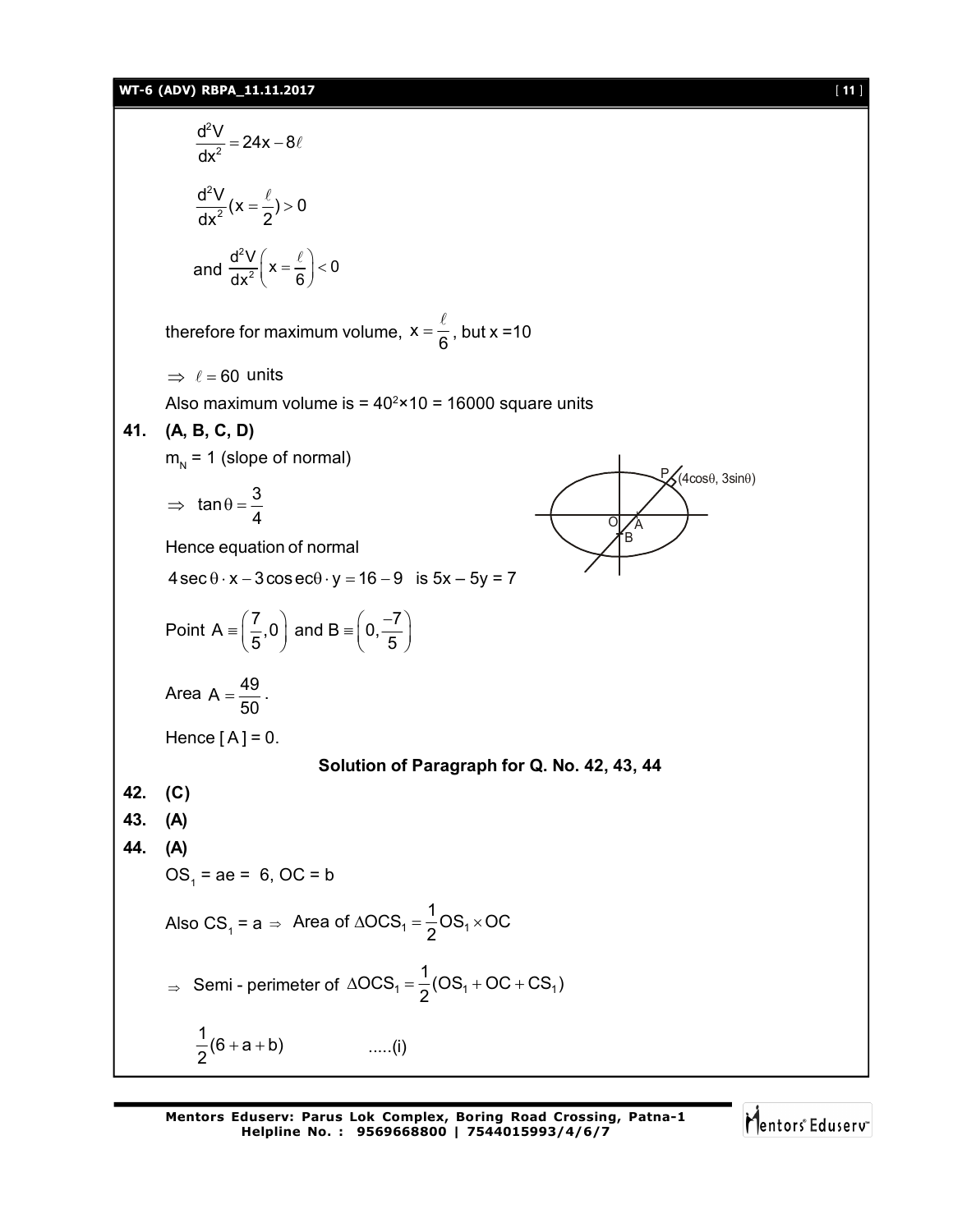### **WT-6 (ADV) RBPA\_11.11.2017** [ **11** ]

$$
\frac{d^2V}{dx^2} = 24x - 8\ell
$$
\n
$$
\frac{d^2V}{dx^2}(x = \frac{\ell}{2}) > 0
$$
\nand 
$$
\frac{d^2V}{dx^2}(x = \frac{\ell}{6}) < 0
$$
\ntherefore for maximum volume,  $x = \frac{\ell}{6}$ , but  $x = 10$   
\n⇒  $\ell = 60$  units  
\nAlso maximum volume is = 40<sup>2</sup>×10 = 16000 square units  
\n41. (**A, B, C, D**)  
\n $m_N = 1$  (slope of normal)  
\n⇒  $\tan \theta = \frac{3}{4}$   
\nHence equation of normal  
\n4 sec θ · x − 3 cos secθ · y = 16 − 9 is 5x − 5y = 7  
\nPoint A =  $(\frac{7}{5}, 0)$  and B =  $(0, \frac{-7}{5})$   
\nArea A =  $\frac{49}{50}$ .  
\nHence [A] = 0.  
\nSolution of Paragraph for Q. No. 42, 43, 44  
\n42. (C)  
\n43. (A)  
\n0S<sub>1</sub> = ae = 6, OC = b  
\nAlso CS<sub>1</sub> = a ⇒ Area of  $\triangle OCS_1 = \frac{1}{2}OS_1 \times OC$   
\n⇒ Semi - perimeter of  $\triangle OCS_1 = \frac{1}{2}(OS_1 + OC + CS_1)$   
\n $\frac{1}{2}(6 + a + b)$  ....(i)

Mentors<sup>e</sup> Eduserv<sup>-</sup>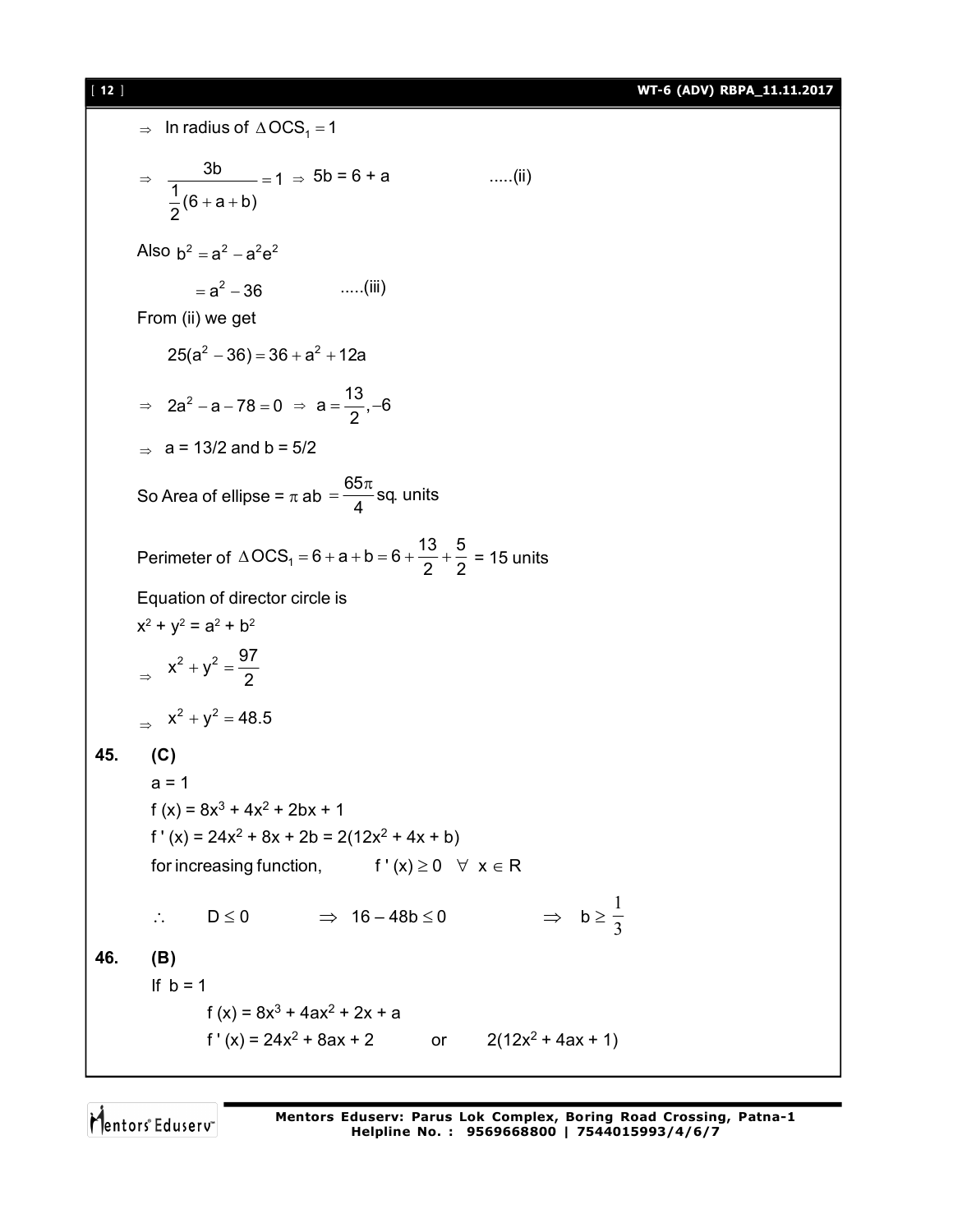[ **12** ] **WT-6 (ADV) RBPA\_11.11.2017**

 $\Rightarrow$  In radius of  $\triangle OCS_1 = 1$  $\Rightarrow \frac{3b}{\frac{1}{6}(6+a+b)} = 1$ 2  $=$  $+a + b$  $\ldots$ .....(ii) Also  $b^2 = a^2 - a^2 e^2$  $=$ a<sup>2</sup> – 36 a  $\ldots$ .....(iii) From (ii) we get  $25(a<sup>2</sup> - 36) = 36 + a<sup>2</sup> + 12a$  $\Rightarrow$  2a<sup>2</sup> - a - 78 = 0  $\Rightarrow$  a =  $\frac{13}{8}$ , -6 2  $=\frac{16}{2}, -6$  $\Rightarrow$  a = 13/2 and b = 5/2 So Area of ellipse =  $\pi$  ab =  $\frac{65\pi}{4}$ sq. units 4  $=\frac{65\pi}{4}$ Perimeter of  $\triangle OCS_1 = 6 + a + b = 6 + \frac{13}{2} + \frac{5}{2}$  $\triangle OCS_1 = 6 + a + b = 6 + \frac{16}{2} + \frac{3}{2} = 15$  units Equation of director circle is  $x^2 + y^2 = a^2 + b^2$  $\Rightarrow$  $x^2 + y^2 = \frac{97}{3}$ 2  $+y^2 = \Rightarrow$   $x^2 + y^2 = 48.5$ **45. (C)**  $a = 1$  $f(x) = 8x^3 + 4x^2 + 2bx + 1$  $f'(x) = 24x^2 + 8x + 2b = 2(12x^2 + 4x + b)$ for increasing function,  $f'(x) \ge 0 \quad \forall x \in R$  $\therefore$  D  $\leq$  0  $\Rightarrow$  16 – 48b  $\leq$  0  $\Rightarrow$  b  $\geq \frac{1}{3}$ 1 **46. (B)** If  $b = 1$ f (x) =  $8x^3 + 4ax^2 + 2x + a$  $f'(x) = 24x^2 + 8ax + 2$  or  $2(12x^2 + 4ax + 1)$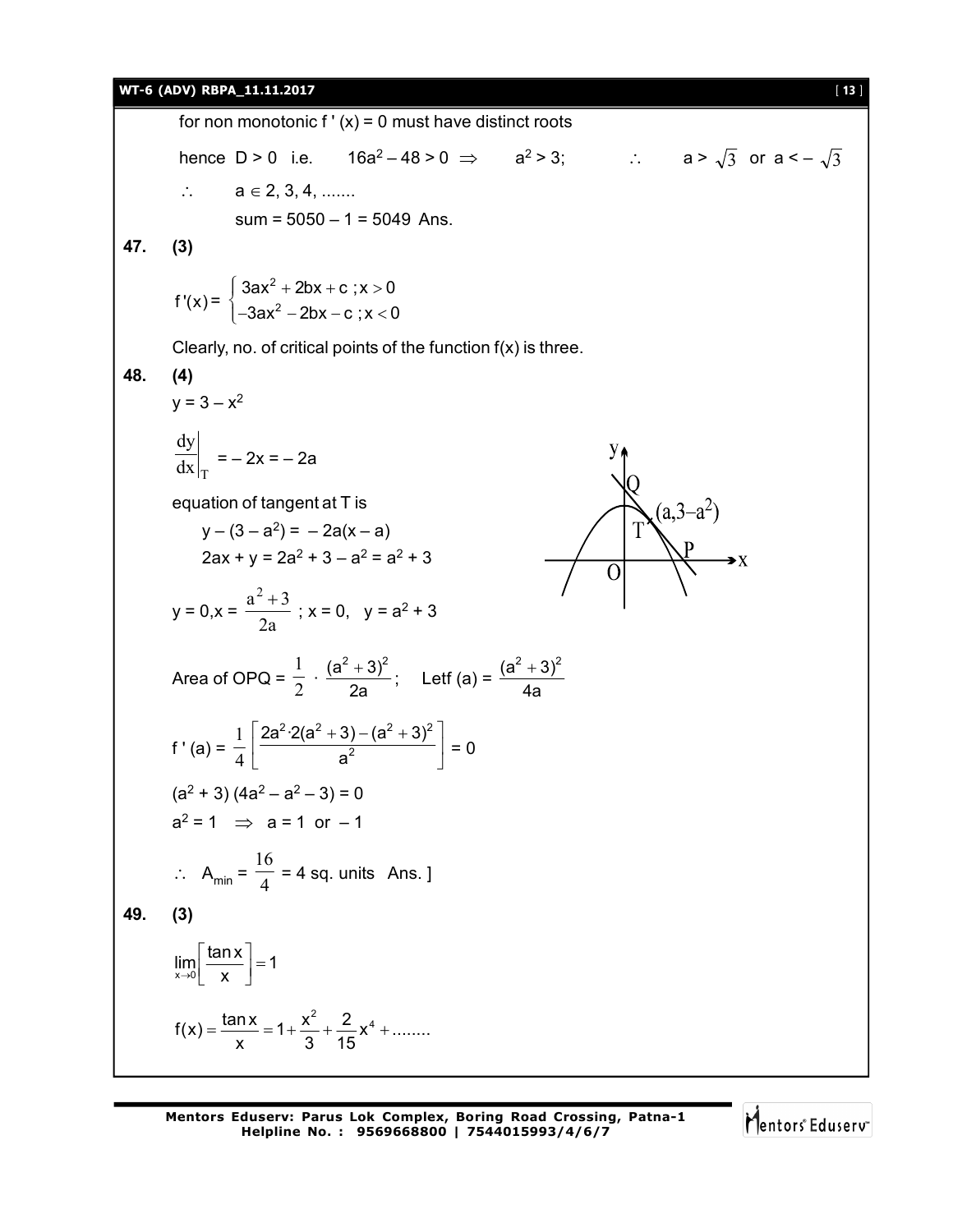### **WT-6 (ADV) RBPA\_11.11.2017** [ **13** ]

for non monotonic  $f'(x) = 0$  must have distinct roots hence D > 0 i.e.  $16a^2-48>0 \Rightarrow a^2>3$ ;  $\therefore a > \sqrt{3}$  or  $a < -\sqrt{3}$  $\therefore$   $a \in 2, 3, 4, \dots$  $sum = 5050 - 1 = 5049$  Ans. **47. (3)**  $\int 3$ ax $^2$  + 2bx + c ;x > 0<br> $\Big(-3$ ax $^2$  – 2bx – c ;x < 0 2  $3ax^2 + 2bx + c$ ;  $x > 0$ f ' $(x)$  = 2  $\left[-3ax^2 - 2bx - c\right]$ ; x < 0 Clearly, no. of critical points of the function f(x) is three. **48. (4)**  $y = 3 - x^2$ dy  $=- 2x = -2a$  $dx|_T$ equation of tangent at T is  $(a,3-a^2)$  $y - (3 - a^2) = -2a(x - a)$  $2ax + y = 2a^2 + 3 - a^2 = a^2 + 3$  $\frac{a^2+3}{2}$ ; x = 0, y = a<sup>2</sup> + 3  $y = 0, x =$ 2a 1  $\cdot \frac{(a^2+3)^2}{2}$  $(\frac{1}{2})^2$ ; Letf (a) =  $\frac{(a^2+3)^2}{4}$  $\ddot{}$ Area of OPQ =  $\frac{1}{2}$ 2a 4a  $1 | 2a^2 \cdot 2(a^2 + 3) - (a^2 + 3)^2$  $\left[\frac{2a^2\cdot 2(a^2+3)-(a^2+3)^2}{a^2}\right]=0$  $2a^2 \cdot 2(a^2 + 3) - (a^2 + 3)$ f ' (a) =  $\frac{1}{4}$ 2  $(a<sup>2</sup> + 3)$   $(4a<sup>2</sup> – a<sup>2</sup> – 3) = 0$  $a^2 = 1 \Rightarrow a = 1 \text{ or } -1$ 16  $\therefore$  A<sub>min</sub> =  $\frac{4}{4}$  $= 4$  sq. units Ans. ] **49. (3)**  $\lim_{x\to 0} \frac{\tan x}{x} = 1$  $\left\lfloor \frac{\tan x}{x} \right\rfloor =$  $\rightarrow 0$  x  $f(x) = \frac{\tan x}{x} = 1 + \frac{x^2}{2} + \frac{2}{15}x^4 + \dots$  $=\frac{\tan 1}{2}$  = 1+ $\frac{\pi}{2}$  +  $\frac{\pi}{4}$  x<sup>4</sup> +. x 3 15

Mentors<sup>®</sup> Eduserv<sup>®</sup>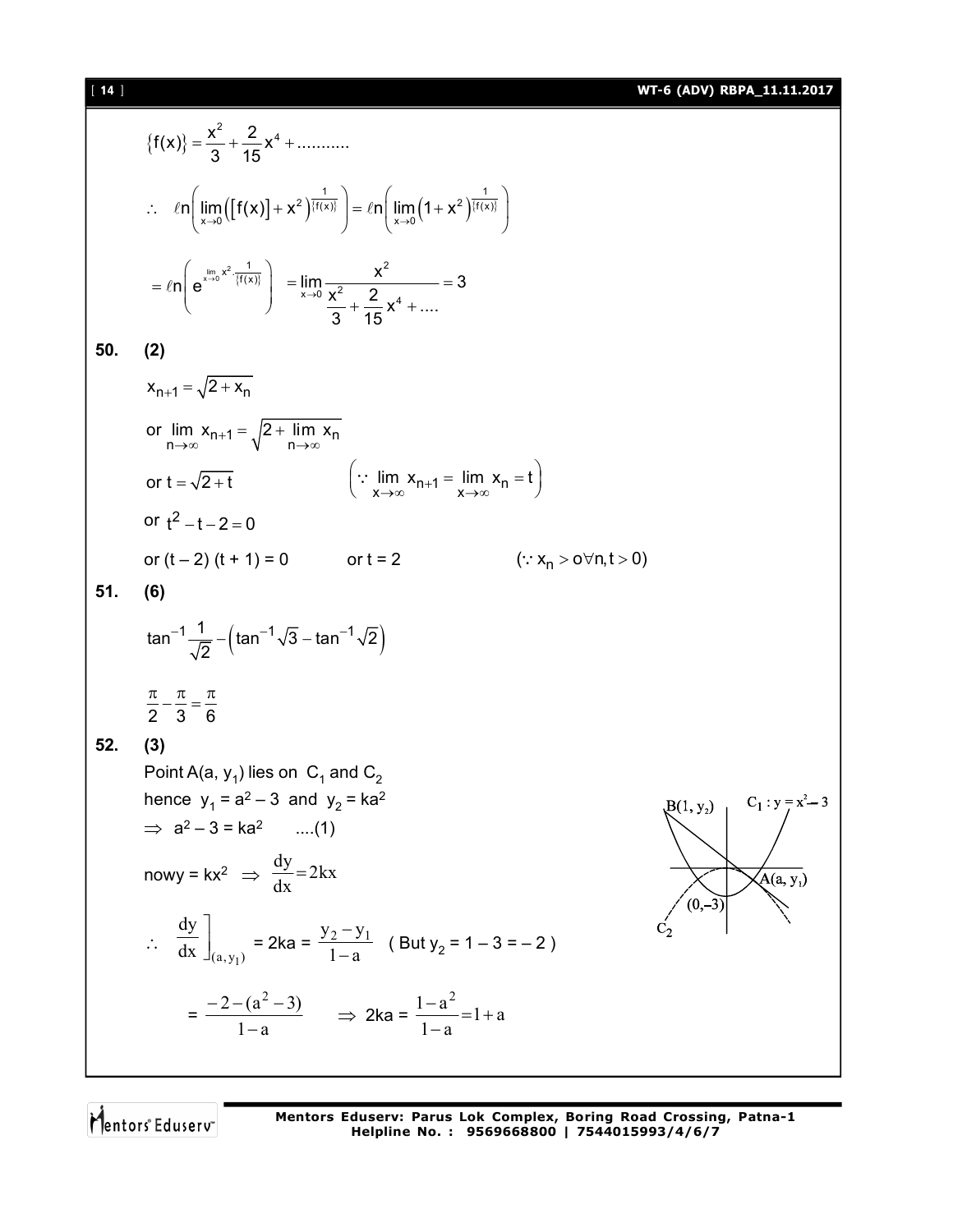[ **14** ] **WT-6 (ADV) RBPA\_11.11.2017**

$$
\{f(x)\} = \frac{x^2}{3} + \frac{2}{15}x^4 + \dots + x^2
$$
\n
$$
\therefore \quad \ln\left(\lim_{x \to 0} \left([f(x)] + x^2\right)^{\frac{1}{f(x)}}\right) = \ln\left(\lim_{x \to 0} (1 + x^2)^{\frac{1}{f(x)}}\right)
$$
\n
$$
= \ln\left(e^{\frac{\ln x}{\ln x}x^2} \frac{1}{f(x)}\right) = \lim_{x \to 0} \frac{x^2}{3 + \frac{2}{15}x^4 + \dots} = 3
$$
\n50. (2)  
\n
$$
x_{n+1} = \sqrt{2 + x_n}
$$
\nor  $\lim_{n \to \infty} x_{n+1} = \sqrt{2 + \lim_{n \to \infty} x_n}$   
\nor  $t = \sqrt{2 + t}$   $\therefore \lim_{x \to \infty} x_{n+1} = \lim_{x \to \infty} x_n = t$   
\nor  $t^2 - t - 2 = 0$   
\nor  $t^2 - t - 2 = 0$   
\nor  $t^2 - t - 2 = 0$   $(\because x_n > 0 \lor n, t > 0)$   
\n51. (6)  
\n $\tan^{-1} \frac{1}{\sqrt{2}} - (\tan^{-1} \sqrt{3} - \tan^{-1} \sqrt{2})$   
\n $\frac{\pi}{2} - \frac{\pi}{3} = \frac{\pi}{6}$   
\n52. (3)  
\nPoint A(a, y<sub>1</sub>) lies on C<sub>1</sub> and C<sub>2</sub>  
\nhence y<sub>1</sub> = a<sup>2</sup> - 3 and y<sub>2</sub> = ka<sup>2</sup>  
\n $\Rightarrow$  a<sup>2</sup> - 3 = ka<sup>2</sup> ....(1)  
\nnowy = kx<sup>2</sup>  $\Rightarrow$   $\frac{dy}{dx} = 2kx$   
\n $\therefore \quad \frac{dy}{dx}\Big|_{(a, y_1)} = 2ka = \frac{y_2 - y_1}{1 - a}$  (But y<sub>2</sub> = 1 - 3 = -2)  
\n $= \frac{-2 - (a^2 - 3)}{1 - a} \Rightarrow 2ka = \frac{1 - a^2}{1 - a} = 1$ 

Mentors<sup>®</sup> Eduserv<sup>®</sup>

**Mentors Eduserv: Parus Lok Complex, Boring Road Crossing, Patna-1 Helpline No. : 9569668800 | 7544015993/4/6/7**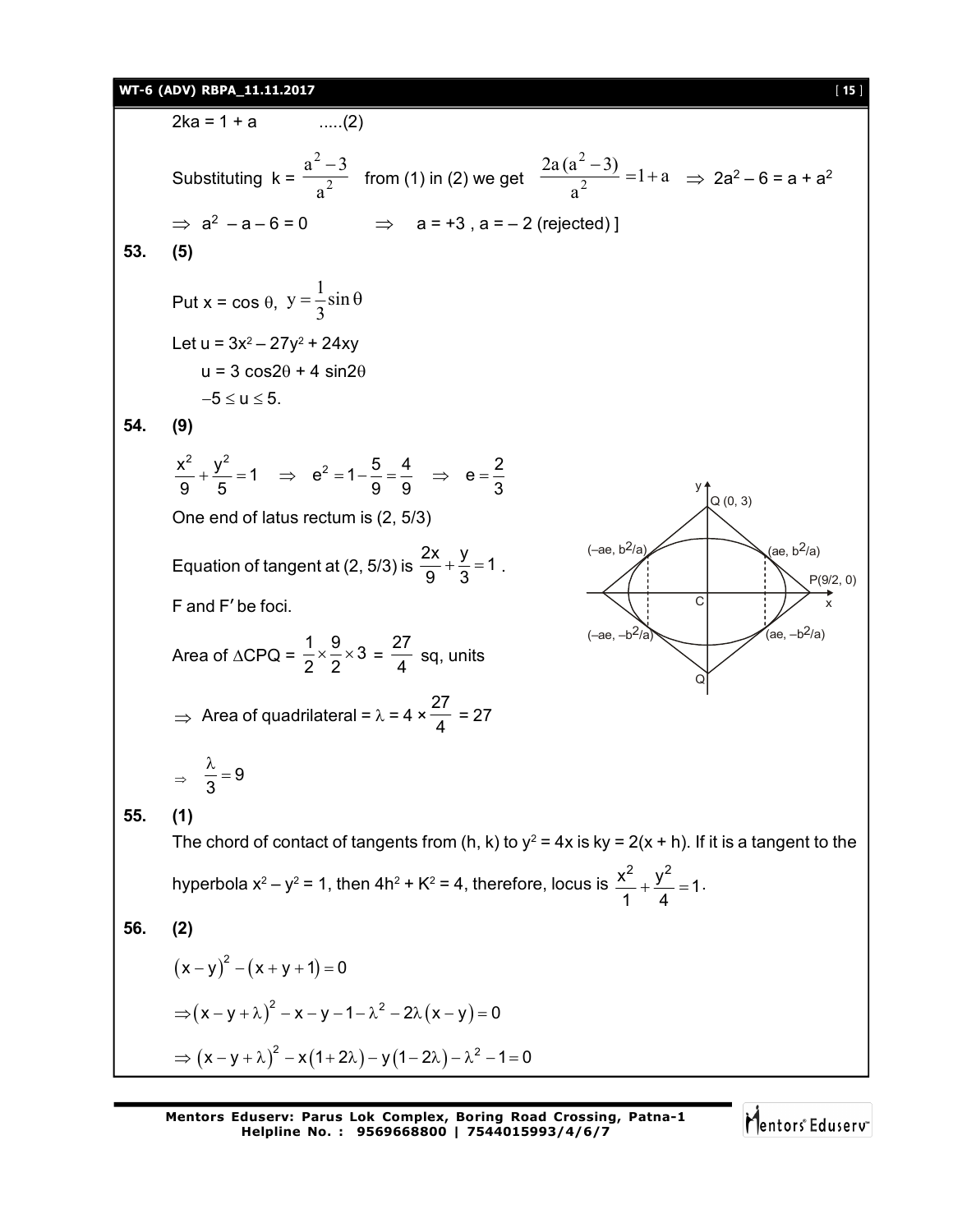### **WT-6 (ADV) RBPA\_11.11.2017** [ **15** ]

 $2ka = 1 + a$  .....(2) Substituting  $k = \frac{2}{\sqrt{2}}$ 2 a  $\frac{a^2-3}{2}$  from (1) in (2) we get  $\frac{2a(a^2-3)}{2}$  = 1 + a a  $2a(a^2-3)$ 2 2  $\frac{-3)}{-1}$  = 1+  $\Rightarrow$  2a<sup>2</sup> – 6 = a + a<sup>2</sup>  $\Rightarrow$  a<sup>2</sup> - a - 6 = 0  $\Rightarrow$  a = +3 , a = - 2 (rejected) ] **53. (5)** Put  $x = \cos \theta$ ,  $y = \frac{1}{2} \sin$ 3  $=\frac{1}{2} \sin \theta$ Let u = 3x<sup>2</sup> – 27y<sup>2</sup> + 24xy  $u = 3 \cos 2\theta + 4 \sin 2\theta$  $-5 \le u \le 5$ . **54. (9)**  $\frac{x^2}{2} + \frac{y^2}{2} = 1 \implies e^2 = 1 - \frac{5}{2} = \frac{4}{2} \implies e = \frac{2}{3}$ 9 5 9 9 3  $+\frac{J}{I} = 1 \Rightarrow e^2 = 1 - \frac{J}{2} = \frac{1}{2} \Rightarrow e = \frac{1}{2}$ One end of latus rectum is (2, 5/3) Equation of tangent at (2, 5/3) is  $\frac{2x}{2} + \frac{y}{2} = 1$  $\frac{3}{9} + \frac{3}{3} = 1$ . F and F' be foci. y  $C$   $\mid$   $\mid$   $\mid$   $\mid$   $\mid$   $\mid$   $\mid$  $(-ae, b^2/a)$   $\sqrt{(ae, b^2/a)}$  $(-ae, -b^2/a)$  $(ae, -b^2/a)$ Q (0, 3) Q P(9/2, 0) Area of  $\triangle$ CPQ =  $\frac{1}{2} \times \frac{9}{2} \times 3$  $\frac{1}{2} \times \frac{9}{2} \times 3 = \frac{27}{4}$  $\frac{1}{4}$  sq, units  $\Rightarrow$  Area of quadrilateral =  $\lambda$  = 4  $\times$ 27  $\frac{1}{4}$  = 27  $\Rightarrow \frac{\pi}{3}=9$  $\frac{\lambda}{2}$  = **55. (1)** The chord of contact of tangents from (h, k) to y $^2$  = 4x is ky = 2(x + h). If it is a tangent to the hyperbola x<sup>2</sup> – y<sup>2</sup> = 1, then 4h<sup>2</sup> + K<sup>2</sup> = 4, therefore, locus is  $\frac{x^2}{4} + \frac{y^2}{4} = 1$ 1 4  $+\frac{y}{4}=1$ . **56. (2)**  $(x - y)^2 - (x + y + 1) = 0$  $\Rightarrow (x - y + \lambda)^2 - x - y - 1 - \lambda^2 - 2\lambda(x - y) = 0$  $\Rightarrow$   $(x - y + \lambda)^2 - x(1 + 2\lambda) - y(1 - 2\lambda) - \lambda^2 - 1 = 0$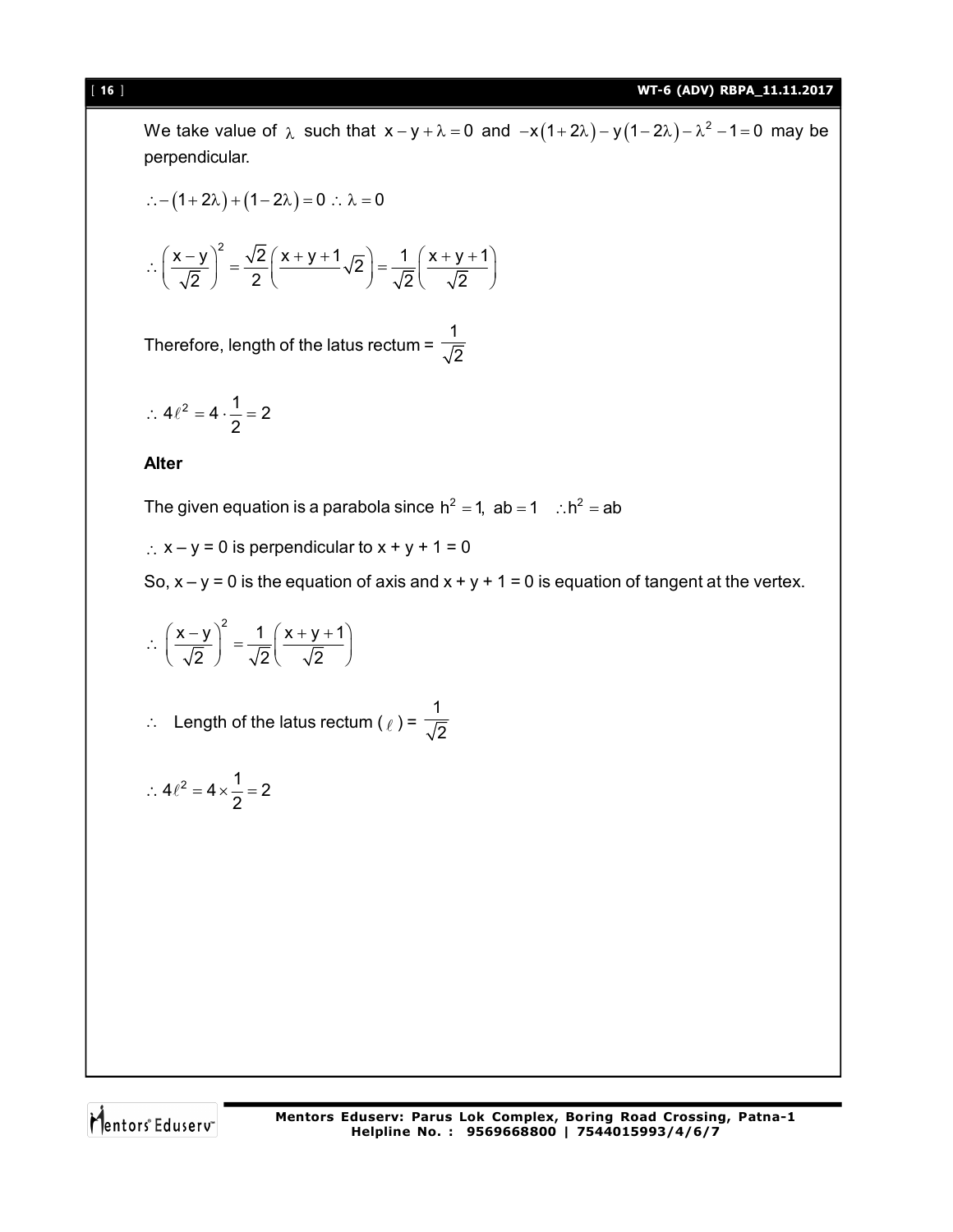We take value of  $\lambda$  such that  $x-y+\lambda = 0$  and  $-x(1+2\lambda)-y(1-2\lambda)-\lambda^2-1=0$  may be perpendicular.

$$
\therefore -(1+2\lambda) + (1-2\lambda) = 0 \therefore \lambda = 0
$$

$$
\therefore \left(\frac{x-y}{\sqrt{2}}\right)^2 = \frac{\sqrt{2}}{2} \left(\frac{x+y+1}{\sqrt{2}}\right) = \frac{1}{\sqrt{2}} \left(\frac{x+y+1}{\sqrt{2}}\right)
$$

Therefore, length of the latus rectum = 1 2

$$
\therefore 4\ell^2 = 4 \cdot \frac{1}{2} = 2
$$

### **Alter**

The given equation is a parabola since  $h^2 = 1$ , ab  $= 1$   $\therefore h^2 = ab$ 

 $\therefore$  x - y = 0 is perpendicular to x + y + 1 = 0

So,  $x - y = 0$  is the equation of axis and  $x + y + 1 = 0$  is equation of tangent at the vertex.

$$
\therefore \left(\frac{x-y}{\sqrt{2}}\right)^2 = \frac{1}{\sqrt{2}}\left(\frac{x+y+1}{\sqrt{2}}\right)
$$

 $\therefore$  Length of the latus rectum ( $\ell$ ) = 1 2

$$
\therefore 4\ell^2 = 4 \times \frac{1}{2} = 2
$$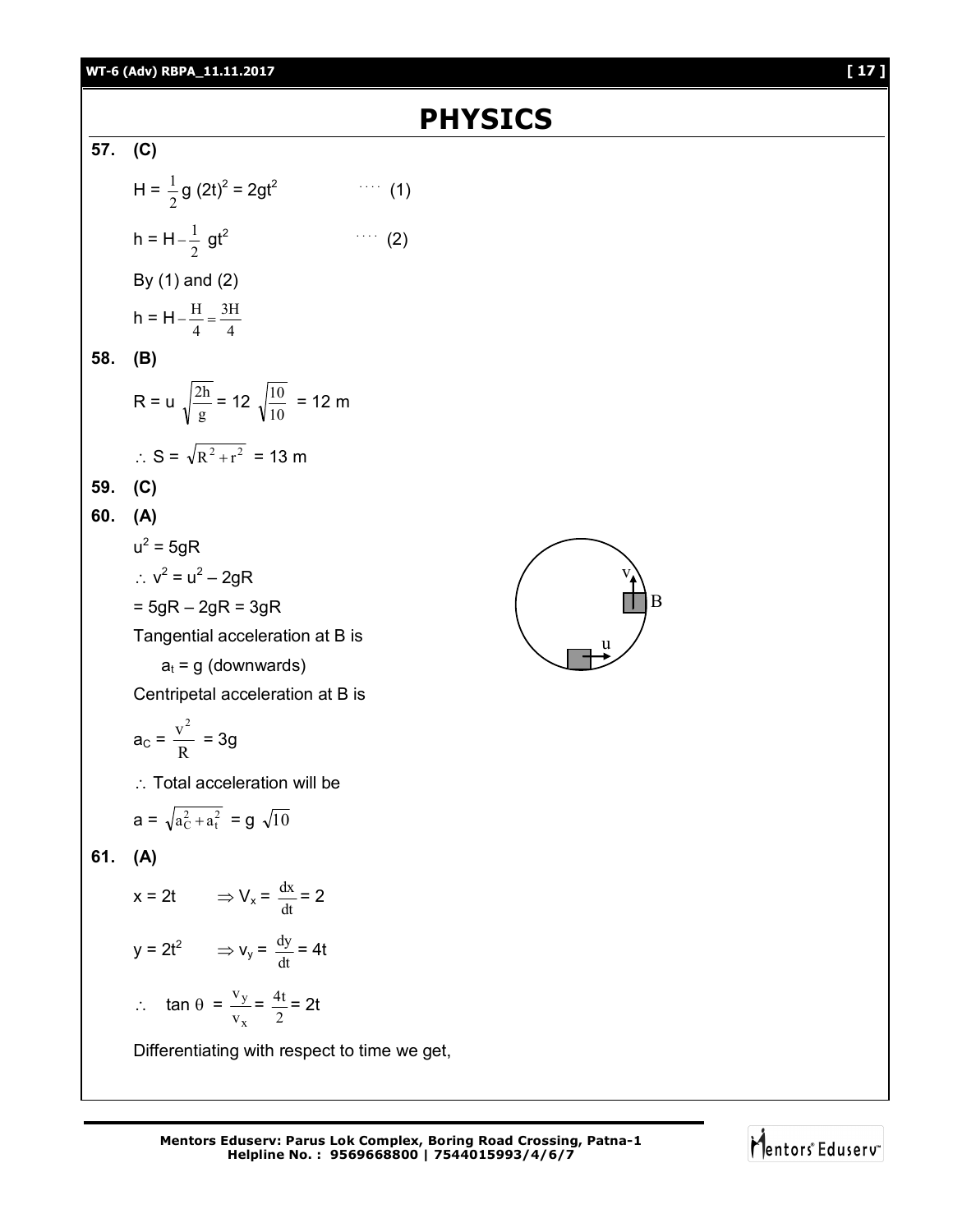# **PHYSICS**

### **57. (C)**

$$
H = \frac{1}{2} g (2t)^{2} = 2gt^{2}
$$
 (1)  
h = H $-\frac{1}{2}$  gt<sup>2</sup> (2)  
By (1) and (2)  
h = H $-\frac{H}{4} = \frac{3H}{4}$ 

### **58. (B)**

R = u 
$$
\sqrt{\frac{2h}{g}}
$$
 = 12  $\sqrt{\frac{10}{10}}$  = 12 m  
∴ S =  $\sqrt{R^2 + r^2}$  = 13 m

### **59. (C)**

## **60. (A)**

$$
u2 = 5gR
$$
  
\n
$$
\therefore v2 = u2 - 2gR
$$
  
\n
$$
= 5gR - 2gR = 3gR
$$
  
\nTangential acceleration at B is  
\n
$$
at = g (downwards)
$$
  
\nCentripetal acceleration at B is  
\n
$$
aC = \frac{v2}{R} = 3g
$$

 $\therefore$  Total acceleration will be

$$
a = \sqrt{a_C^2 + a_t^2} = g \sqrt{10}
$$

### **61. (A)**

 $x = 2t$   $\Rightarrow$   $V_x = \frac{dx}{dt} = 2$  $y = 2t^2$   $\Rightarrow$   $v_y = \frac{dy}{dt} = 4t$  $\therefore$  tan  $\theta$  = x y v  $\frac{v_y}{v_x} = \frac{4v}{2}$  $\frac{4t}{2}$  = 2t

Differentiating with respect to time we get,



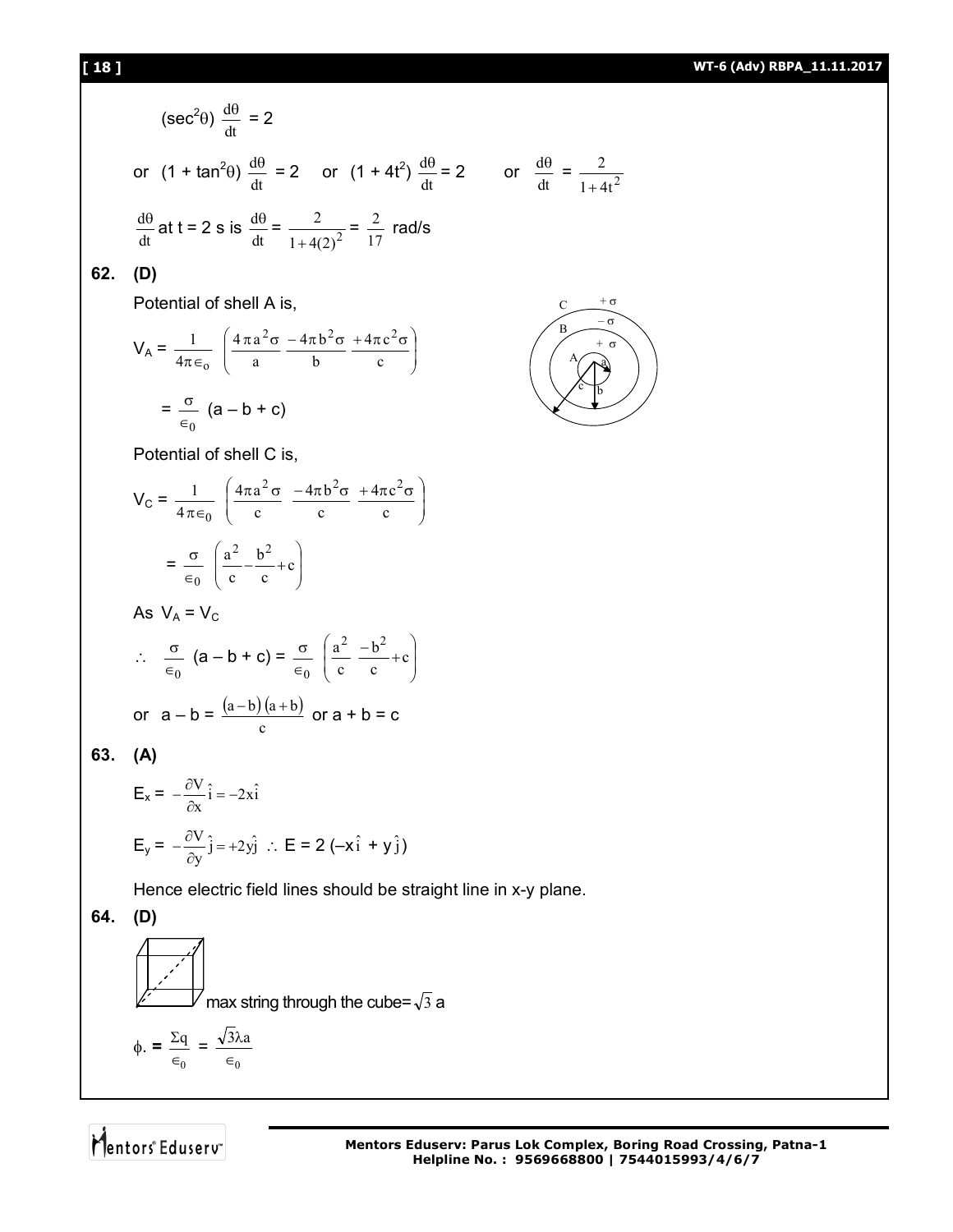### **[ 18 ] WT-6 (Adv) RBPA\_11.11.2017**

$$
(\sec^2 \theta) \frac{d\theta}{dt} = 2
$$
\nor  $(1 + \tan^2 \theta) \frac{d\theta}{dt} = 2$  or  $(1 + 4t^2) \frac{d\theta}{dt} = 2$  or  $\frac{d\theta}{dt} = \frac{1}{1 + 4(2)^2} = \frac{2}{17}$  rad/s\n  
\n(D)\n  
\nPotential of shell A is,\n
$$
V_A = \frac{1}{4\pi \epsilon_0} \left( \frac{4\pi a^2 \sigma}{a} \frac{-4\pi b^2 \sigma}{b} \frac{+4\pi c^2 \sigma}{c} \right)
$$
\n
$$
= \frac{\sigma}{\epsilon_0} (a - b + c)
$$
\nPotential of shell C is,\n
$$
V_C = \frac{1}{4\pi \epsilon_0} \left( \frac{4\pi a^2 \sigma}{c} \frac{-4\pi b^2 \sigma}{c} \frac{+4\pi c^2 \sigma}{c} \right)
$$
\n
$$
= \frac{\sigma}{\epsilon_0} \left( \frac{a^2}{c} - \frac{b^2}{c} + c \right)
$$
\nAs  $V_A = V_C$ \n
$$
\therefore \frac{\sigma}{\epsilon_0} (a - b + c) = \frac{\sigma}{\epsilon_0} \left( \frac{a^2}{c} - \frac{b^2}{c} + c \right)
$$
\nor  $a - b = \frac{(a - b)(a + b)}{c}$  or  $a + b = c$ \n  
\n(A)\n
$$
E_x = -\frac{\partial V}{\partial x} \hat{i} = -2x\hat{i}
$$
\n
$$
E_y = -\frac{\partial V}{\partial y} \hat{j} = +2y\hat{j} \therefore E = 2(-x\hat{i} + y\hat{j})
$$
\nHence electric field lines should be straight line in x-y plane.\n  
\n(D)\n  
\n
$$
V = \frac{\partial V}{\partial y} \frac{\partial V}{\partial x} = -2x\hat{i}
$$
\n
$$
V = \frac{\partial V}{\partial x} \frac{\partial V}{\partial y} = -2x\hat{i}
$$
\n
$$
V = \frac{\partial V}{\partial y} \frac{\partial V}{\partial x} = -2x\hat{i}
$$
\n
$$
V = \frac{\partial V}{\partial x} \frac{\partial V}{\partial y} = -2x\hat{i}
$$
\n
$$
V =
$$

Mentors<sup>e</sup> Eduserv<sup>®</sup>

0 q  $\in$  $\frac{\Sigma q}{\Sigma q}$  =

 $\boldsymbol{0}$  $3\lambda a$  $\in$ λ

 $\phi$ . =

 $=\frac{2}{1+4t^2}$ 2  $^{+}$ 

> $-\sigma$  $+ \sigma$

C B A

 $+$   $\sigma$ 

a

b c

**62. (D)**

**63. (A)**

**64. (D)**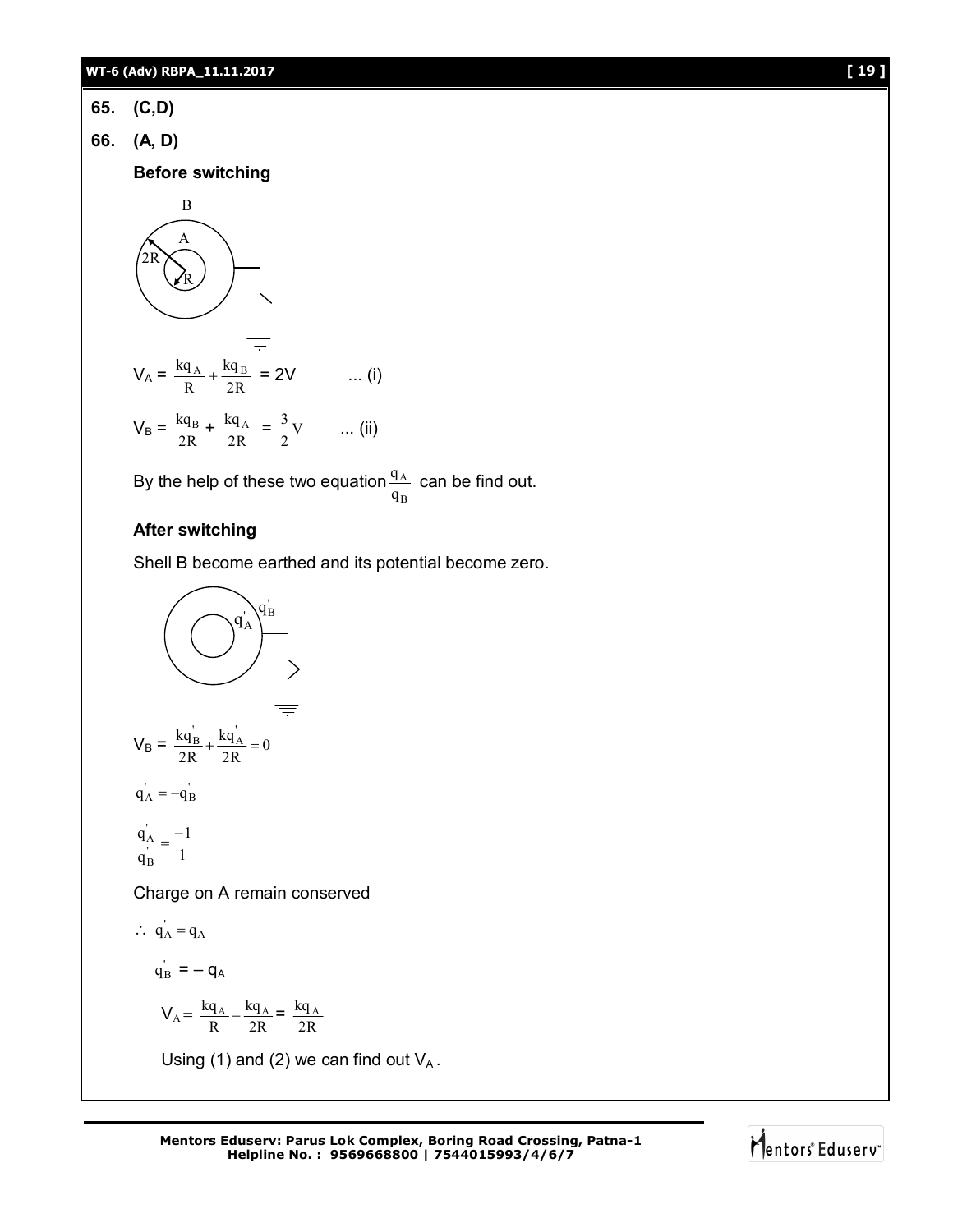- **65. (C,D)**
- **66. (A, D)**

**Before switching** 

$$
V_{A} = \frac{kq_{A}}{R} + \frac{kq_{B}}{2R} = 2V
$$
 ... (i)  

$$
V_{B} = \frac{kq_{B}}{2R} + \frac{kq_{A}}{2R} = \frac{3}{2}V
$$
 ... (ii)

By the help of these two equation A q  $\frac{q_A}{q}$  can be find out.

B

# **After switching**

Shell B become earthed and its potential become zero.

$$
V_B = \frac{kq'_B}{2R} + \frac{kq'_A}{2R} = 0
$$
  
\n
$$
q'_A = -q'_B
$$
  
\n
$$
\frac{q'_A}{q'_B} = \frac{-1}{1}
$$
  
\nChange on A remain conserved  
\n $\therefore$   $q'_A = q_A$   
\n
$$
q'_B = -q_A
$$
  
\n
$$
V_A = \frac{kq_A}{R} - \frac{kq_A}{2R} = \frac{kq_A}{2R}
$$
  
\nUsing (1) and (2) we can find out  $V_A$ .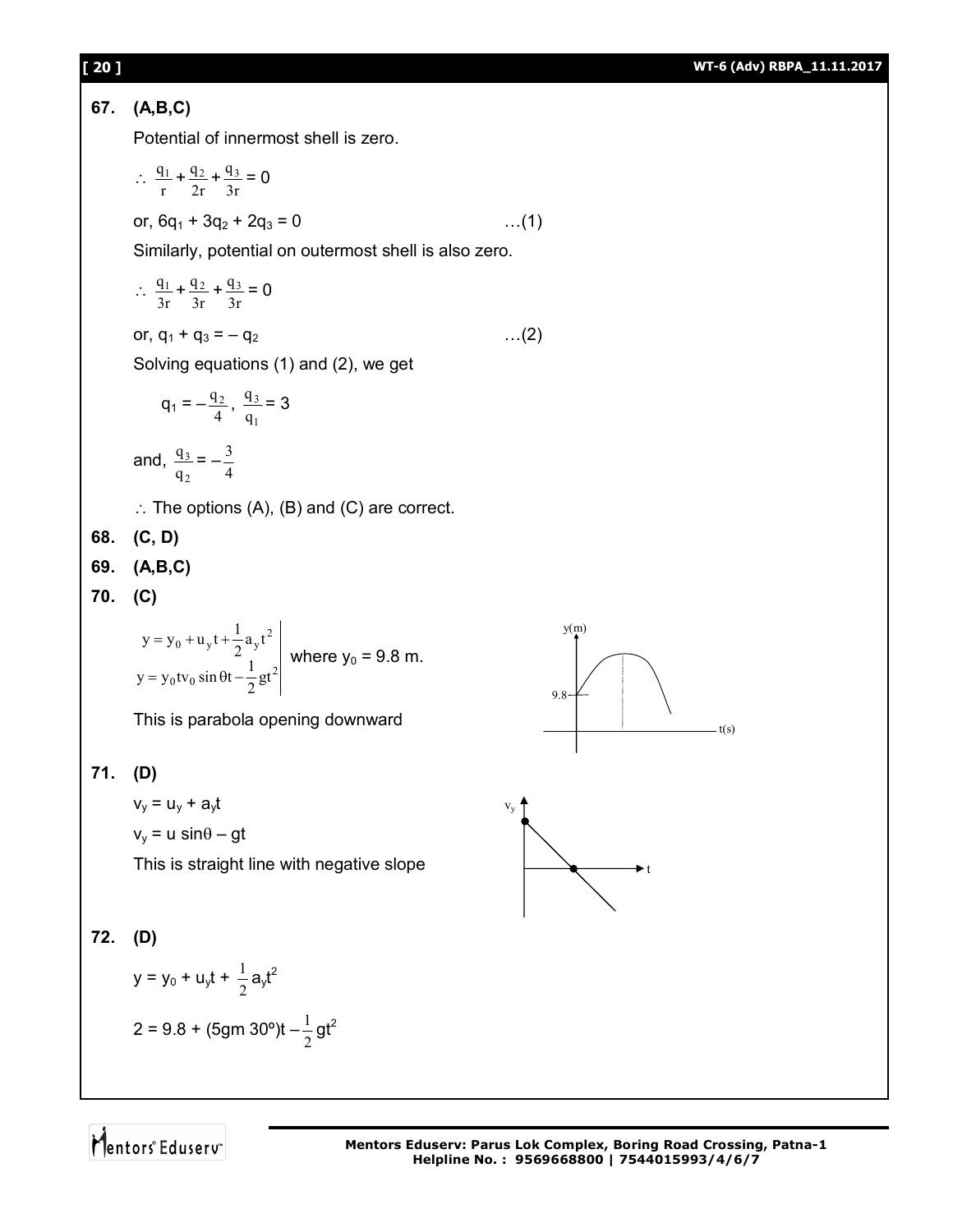

Mentors Eduserv<sup>®</sup>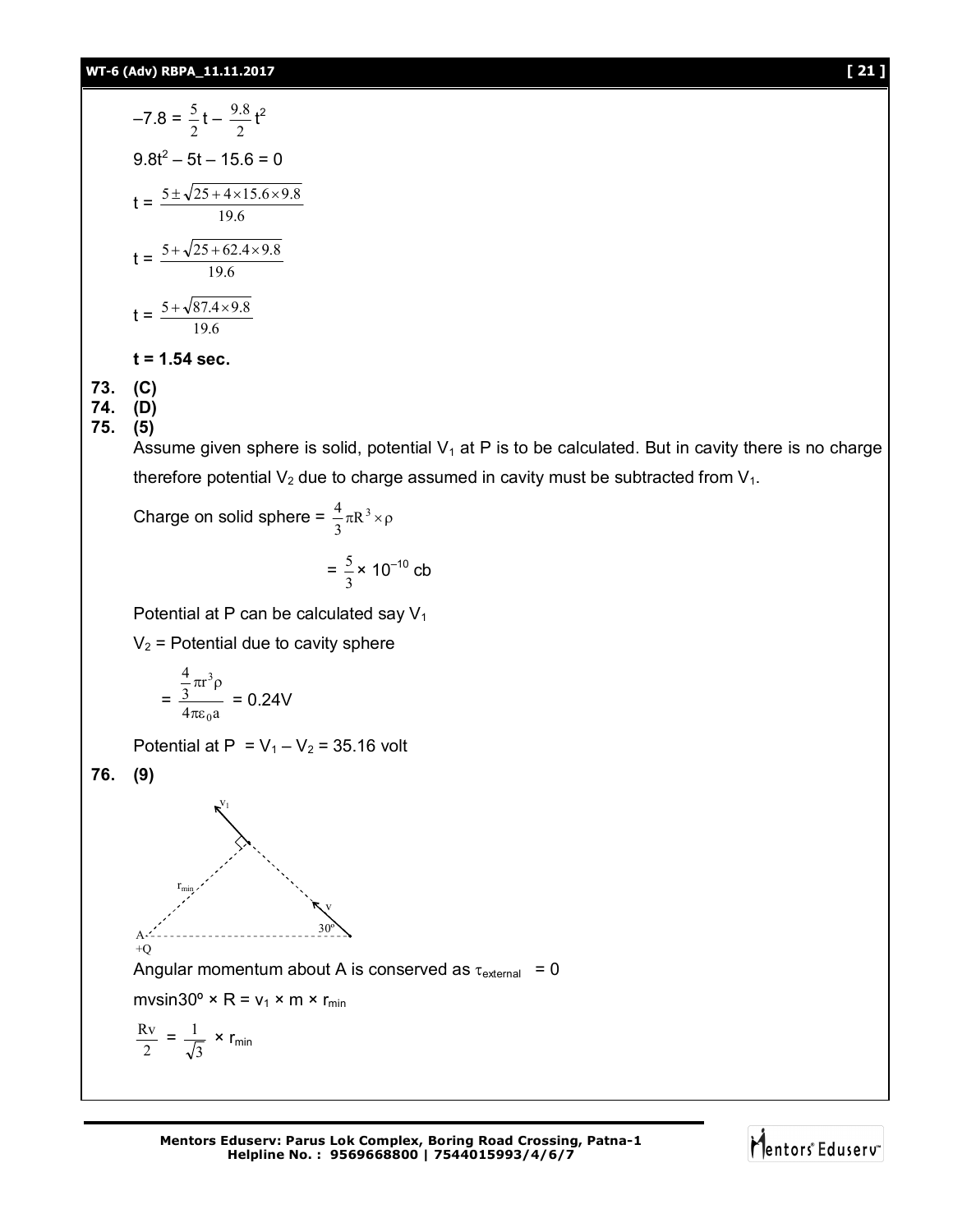$$
-7.8 = \frac{5}{2}t - \frac{9.8}{2}t^2
$$
  
9.8t<sup>2</sup> - 5t - 15.6 = 0  

$$
t = \frac{5 \pm \sqrt{25 + 4 \times 15.6 \times 9.8}}{19.6}
$$
  

$$
t = \frac{5 + \sqrt{25 + 62.4 \times 9.8}}{19.6}
$$
  

$$
t = \frac{5 + \sqrt{87.4 \times 9.8}}{19.6}
$$

### **t = 1.54 sec.**

**73. (C)**

**74. (D) 75. (5)**

Assume given sphere is solid, potential  $V_1$  at P is to be calculated. But in cavity there is no charge therefore potential  $V_2$  due to charge assumed in cavity must be subtracted from  $V_1$ .

Charge on solid sphere =  $\frac{4}{3}\pi R^3 \times \rho$ 4

$$
= \frac{5}{3} \times 10^{-10} \text{ cb}
$$

Potential at P can be calculated say  $V_1$ 

 $V_2$  = Potential due to cavity sphere

$$
=\frac{\frac{4}{3}\pi r^3 \rho}{4\pi \varepsilon_0 a} = 0.24V
$$

Potential at P =  $V_1 - V_2$  = 35.16 volt

**76. (9)**



**Mentors Eduserv: Parus Lok Complex, Boring Road Crossing, Patna-1 Helpline No. : 9569668800 | 7544015993/4/6/7**

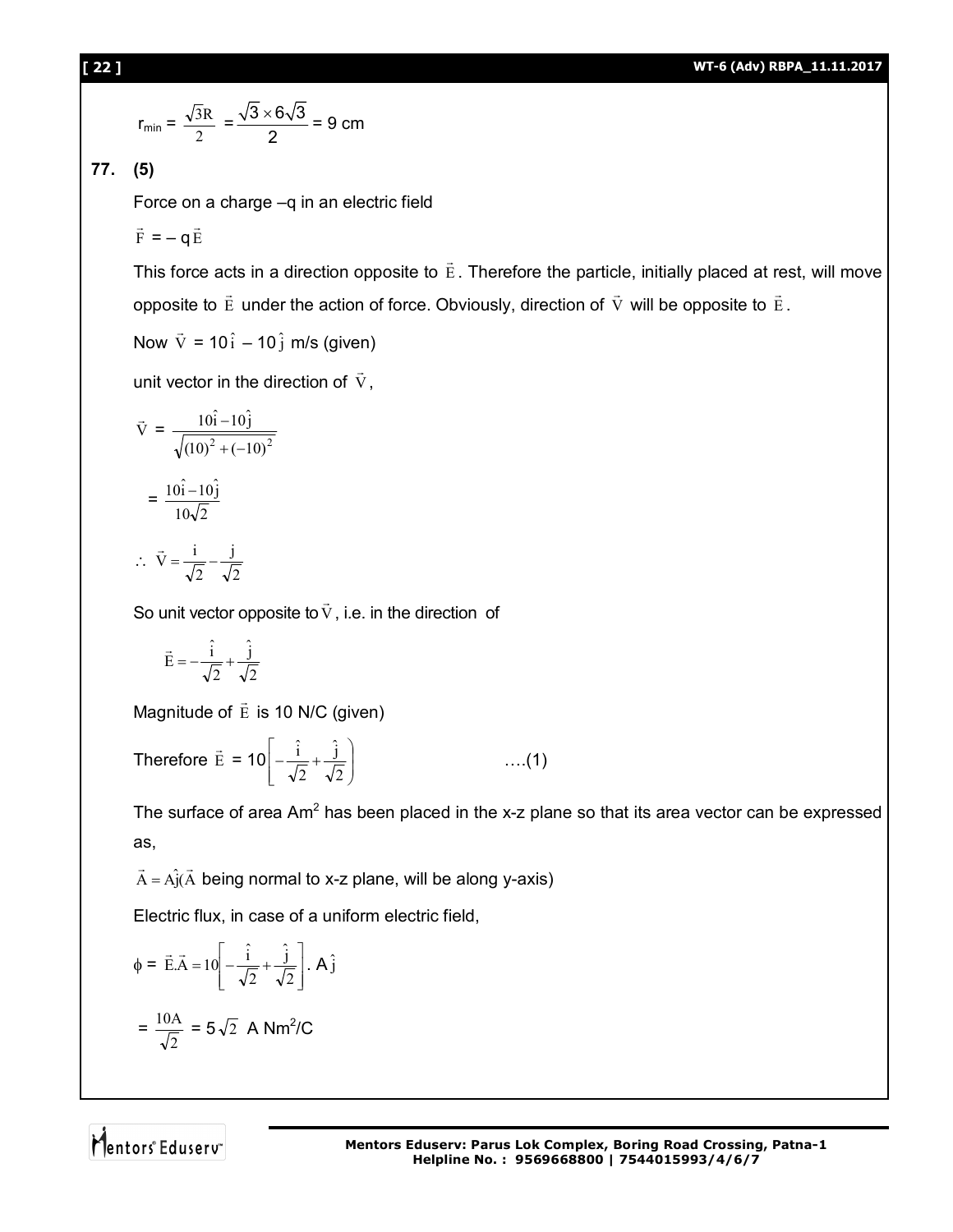$$
r_{\min} = \frac{\sqrt{3}R}{2} = \frac{\sqrt{3} \times 6\sqrt{3}}{2} = 9 \text{ cm}
$$

**77. (5)**

Force on a charge –q in an electric field

F  $\overline{a}$  $=$  – q $\dot{\mathrm{E}}$  $\overline{a}$ 

This force acts in a direction opposite to  $\,\mathrm{E}$  $\overline{\phantom{a}}$ . Therefore the particle, initially placed at rest, will move opposite to  $\,\mathrm{E}$  $\overline{\phantom{a}}$ under the action of force. Obviously, direction of  $\,$   $\rm V$  $\overline{\phantom{a}}$ will be opposite to  $\,\mathrm{E}$  $\rightarrow$ .

Now V  $\rightarrow$ = 10 $\hat{\text{i}}$  – 10 $\hat{\text{j}}$  m/s (given)

unit vector in the direction of  $\bar{V}$  $\overline{\phantom{a}}$ ,

$$
\vec{V} = \frac{10\hat{i} - 10\hat{j}}{\sqrt{(10)^2 + (-10)^2}}
$$

$$
= \frac{10\hat{i} - 10\hat{j}}{10\sqrt{2}}
$$

$$
\therefore \ \vec{V} = \frac{i}{\sqrt{2}} - \frac{j}{\sqrt{2}}
$$

So unit vector opposite to  $\mathrm{V}$  $\overline{\phantom{a}}$ , i.e. in the direction of

$$
\vec{E}=-\frac{\hat{i}}{\sqrt{2}}+\frac{\hat{j}}{\sqrt{2}}
$$

Magnitude of E  $\rightarrow$ is 10 N/C (given)

Therefore 
$$
\vec{E} = 10 \left[ -\frac{\hat{i}}{\sqrt{2}} + \frac{\hat{j}}{\sqrt{2}} \right]
$$
 ....(1)

The surface of area Am<sup>2</sup> has been placed in the x-z plane so that its area vector can be expressed as,

 $\vec{A} = \hat{AJ}(\vec{A})$  $\rightarrow$   $\rightarrow$  $=$  Aj(A being normal to x-z plane, will be along y-axis)

Electric flux, in case of a uniform electric field,

$$
\phi = \vec{E}.\vec{A} = 10 \left[ -\frac{\hat{i}}{\sqrt{2}} + \frac{\hat{j}}{\sqrt{2}} \right]. A \hat{j}
$$

$$
= \frac{10A}{\sqrt{2}} = 5\sqrt{2} A Nm^{2}/C
$$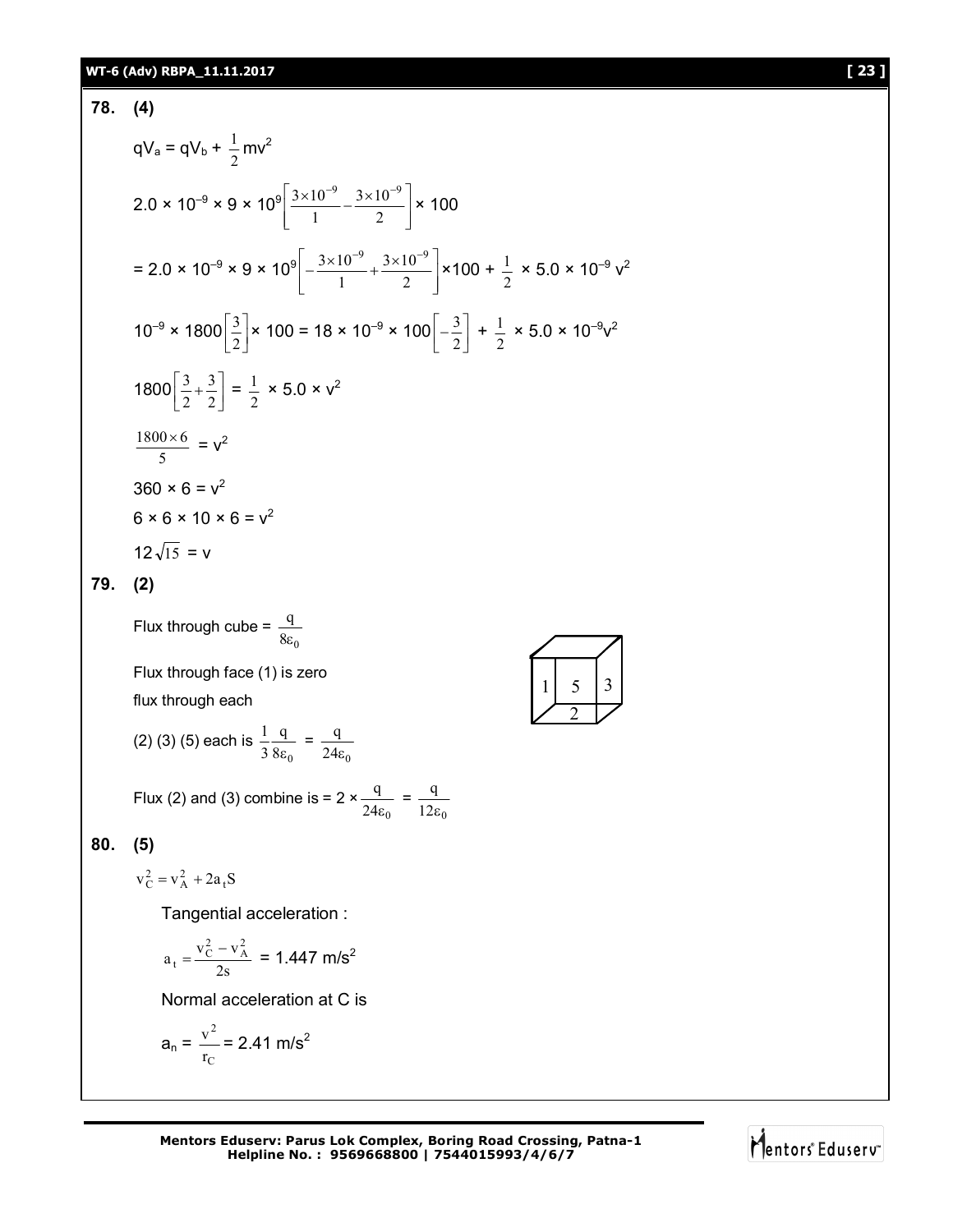### **WT-6 (Adv) RBPA\_11.11.2017 [ 23 ]**

78. (4)  
\n
$$
qV_a = qV_b + \frac{1}{2}mv^2
$$
\n
$$
2.0 \times 10^{-9} \times 9 \times 10^9 \left[ \frac{3 \times 10^{-9}}{1} - \frac{3 \times 10^{-9}}{2} \right] \times 100
$$
\n
$$
= 2.0 \times 10^{-9} \times 9 \times 10^9 \left[ -\frac{3 \times 10^{-9}}{1} + \frac{3 \times 10^{-9}}{2} \right] \times 100 + \frac{1}{2} \times 5.0 \times 10^{-9} v^2
$$
\n
$$
10^{-9} \times 1800 \left[ \frac{3}{2} \right] \times 100 = 18 \times 10^{-9} \times 100 \left[ -\frac{3}{2} \right] + \frac{1}{2} \times 5.0 \times 10^{-9} v^2
$$
\n
$$
1800 \left[ \frac{3}{2} + \frac{3}{2} \right] = \frac{1}{2} \times 5.0 \times v^2
$$
\n
$$
\frac{1800 \times 6}{5} = v^2
$$
\n
$$
360 \times 6 = v^2
$$
\n
$$
6 \times 6 \times 10 \times 6 = v^2
$$
\n
$$
12\sqrt{15} = v
$$

# **79. (2)**

Flux through  $cube =$  $8\varepsilon_0$ q ε

Flux through face (1) is zero flux through each

(2) (3) (5) each is 
$$
\frac{1}{3} \frac{q}{8\varepsilon_0} = \frac{q}{24\varepsilon_0}
$$

Flux (2) and (3) combine is =  $2 \times$  $24\varepsilon_0$ q  $\epsilon$ =  $12\varepsilon_0$ q  $\epsilon$ 

### **80. (5)**

 $v_C^2 = v_A^2 + 2a_tS$ 

Tangential acceleration :

$$
a_t = \frac{v_C^2 - v_A^2}{2s} = 1.447 \text{ m/s}^2
$$

Normal acceleration at C is

$$
a_n = \frac{v^2}{r_C} = 2.41 \text{ m/s}^2
$$

**Mentors Eduserv: Parus Lok Complex, Boring Road Crossing, Patna-1 Helpline No. : 9569668800 | 7544015993/4/6/7**

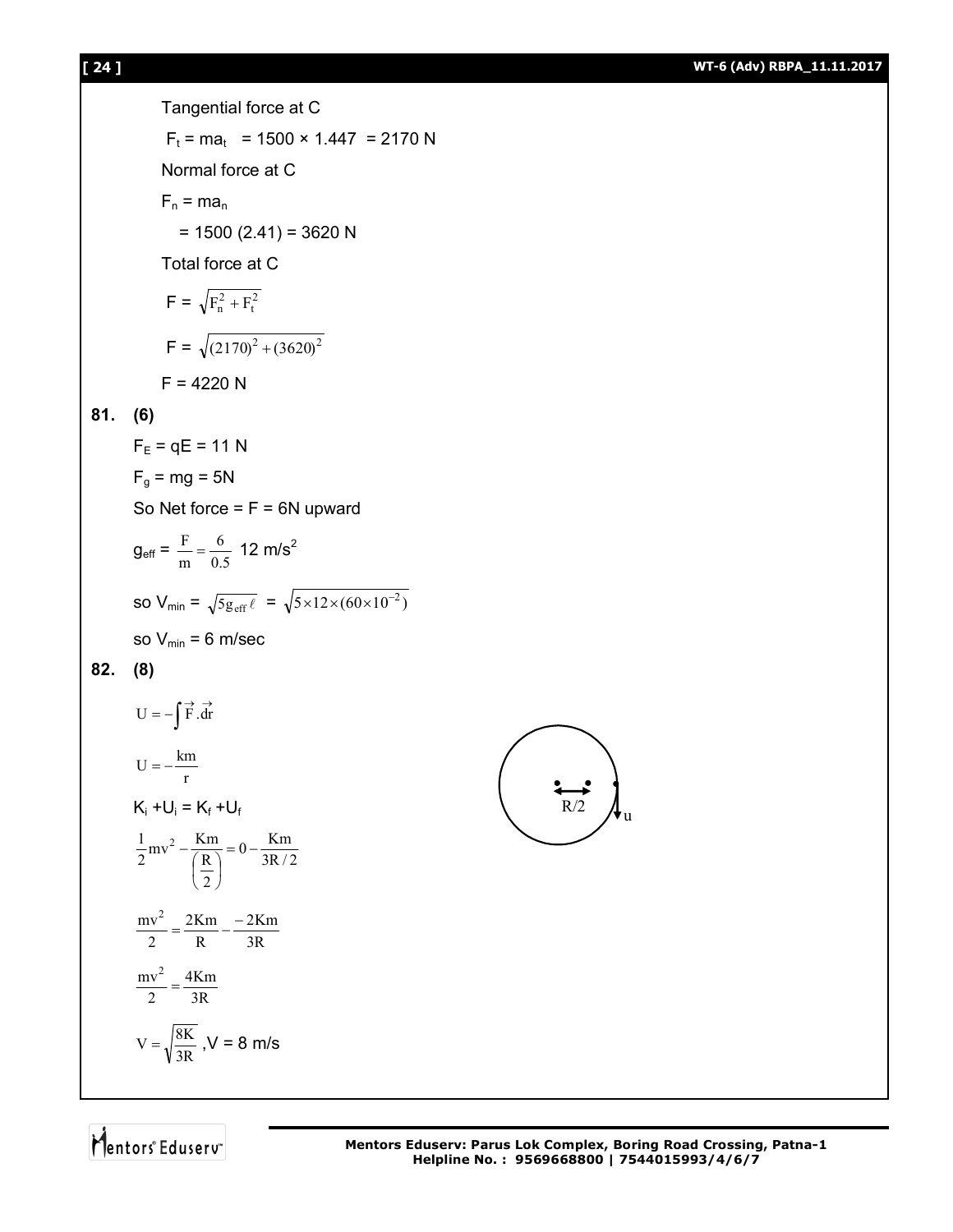**81. (6)**

**82. (8)**

231  
\nTangential force at C  
\n
$$
F_1 = ma_1 = 1500 \times 1.447 = 2170 \text{ N}
$$
  
\nNormal force at C  
\n $F_n = ma_n$   
\n $= 1500 (2.41) = 3620 \text{ N}$   
\nTotal force at C  
\n $F = \sqrt{F_1^2 + F_1^2}$   
\n $F = \sqrt{(2170)^2 + (3620)^2}$   
\n $F = 4220 \text{ N}$   
\n81. (6)  
\n $F_E = qE = 11 \text{ N}$   
\n $F_{\frac{\alpha}{9}} = mg = 5N$   
\nSo Net force =  $F = 6N$  upward  
\n $g_{\text{eff}} = \frac{F}{m} = \frac{6}{0.5} = 12 \text{ m/s}^2$   
\nso  $V_{\text{min}} = \sqrt{3g_{\text{eff}}t} = \sqrt{35 \times 12 \times (60 \times 10^{-2})}$   
\nso  $V_{\text{min}} = 6 \text{ m/sec}$   
\n82. (8)  
\n $U = -\int \vec{F} \cdot d\vec{r}$   
\n $U = -\int \vec{F} \cdot d\vec{r}$   
\n $U = -\frac{Im}{r}$   
\n $K_1 + U_1 = K_2 + U_1$   
\n $\frac{1}{2}mv^2 = \frac{Km}{(K_2)} = 0 = \frac{Km}{3R}$   
\n $\frac{mv^2}{2} = \frac{2Km}{R} = \frac{-2Km}{3R}$   
\n $\frac{mv^2}{2} = \frac{4Km}{3R}$   
\n $\frac{mv^2}{2} = \frac{4Km}{3R}$   
\n $V = \sqrt{\frac{3K}{3R}}$ ,  $V = 8 \text{ m/s}$